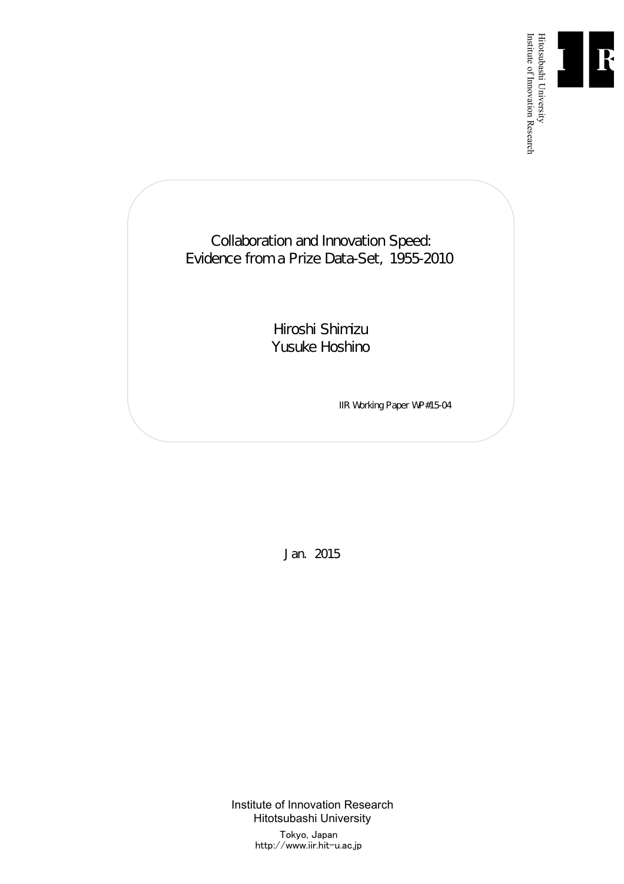

Institute of Innovation Research

Collaboration and Innovation Speed: Evidence from a Prize Data-Set, 1955-2010

> Hiroshi Shimizu Yusuke Hoshino

> > IIR Working Paper WP#15-04

Jan. 2015

Institute of Innovation Research Hitotsubashi University Tokyo, Japan http://www.iir.hit-u.ac.jp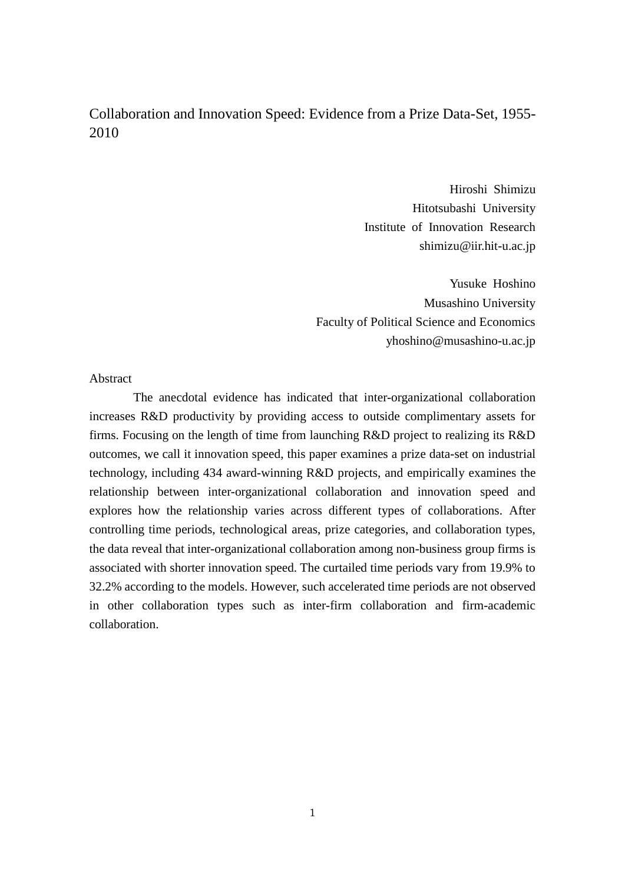# Collaboration and Innovation Speed: Evidence from a Prize Data-Set, 1955- 2010

Hiroshi Shimizu Hitotsubashi University Institute of Innovation Research shimizu@iir.hit-u.ac.jp

Yusuke Hoshino Musashino University Faculty of Political Science and Economics yhoshino@musashino-u.ac.jp

Abstract

The anecdotal evidence has indicated that inter-organizational collaboration increases R&D productivity by providing access to outside complimentary assets for firms. Focusing on the length of time from launching R&D project to realizing its R&D outcomes, we call it innovation speed, this paper examines a prize data-set on industrial technology, including 434 award-winning R&D projects, and empirically examines the relationship between inter-organizational collaboration and innovation speed and explores how the relationship varies across different types of collaborations. After controlling time periods, technological areas, prize categories, and collaboration types, the data reveal that inter-organizational collaboration among non-business group firms is associated with shorter innovation speed. The curtailed time periods vary from 19.9% to 32.2% according to the models. However, such accelerated time periods are not observed in other collaboration types such as inter-firm collaboration and firm-academic collaboration.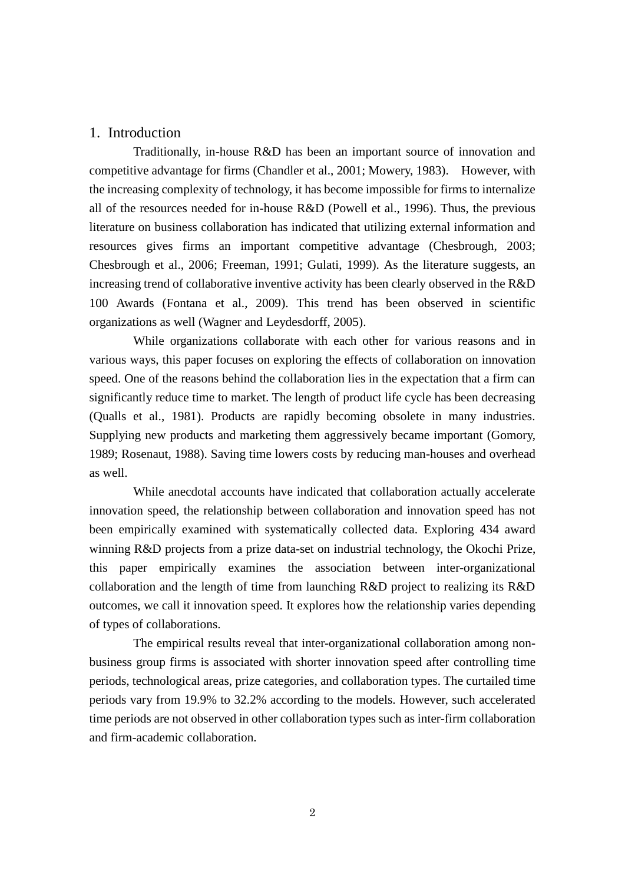### 1. Introduction

Traditionally, in-house R&D has been an important source of innovation and competitive advantage for firms [\(Chandler et al., 2001;](#page-26-0) [Mowery, 1983\)](#page-28-0). However, with the increasing complexity of technology, it has become impossible for firms to internalize all of the resources needed for in-house R&D [\(Powell et al., 1996\)](#page-29-0). Thus, the previous literature on business collaboration has indicated that utilizing external information and resources gives firms an important competitive advantage [\(Chesbrough, 2003;](#page-26-1) [Chesbrough et al., 2006;](#page-26-2) [Freeman, 1991;](#page-27-0) [Gulati, 1999\)](#page-27-1). As the literature suggests, an increasing trend of collaborative inventive activity has been clearly observed in the R&D 100 Awards [\(Fontana et al., 2009\)](#page-27-2). This trend has been observed in scientific organizations as well [\(Wagner and Leydesdorff, 2005\)](#page-29-1).

While organizations collaborate with each other for various reasons and in various ways, this paper focuses on exploring the effects of collaboration on innovation speed. One of the reasons behind the collaboration lies in the expectation that a firm can significantly reduce time to market. The length of product life cycle has been decreasing [\(Qualls et al., 1981\)](#page-29-2). Products are rapidly becoming obsolete in many industries. Supplying new products and marketing them aggressively became important [\(Gomory,](#page-27-3)  [1989;](#page-27-3) [Rosenaut, 1988\)](#page-29-3). Saving time lowers costs by reducing man-houses and overhead as well.

While anecdotal accounts have indicated that collaboration actually accelerate innovation speed, the relationship between collaboration and innovation speed has not been empirically examined with systematically collected data. Exploring 434 award winning R&D projects from a prize data-set on industrial technology, the Okochi Prize, this paper empirically examines the association between inter-organizational collaboration and the length of time from launching R&D project to realizing its R&D outcomes, we call it innovation speed. It explores how the relationship varies depending of types of collaborations.

The empirical results reveal that inter-organizational collaboration among nonbusiness group firms is associated with shorter innovation speed after controlling time periods, technological areas, prize categories, and collaboration types. The curtailed time periods vary from 19.9% to 32.2% according to the models. However, such accelerated time periods are not observed in other collaboration types such as inter-firm collaboration and firm-academic collaboration.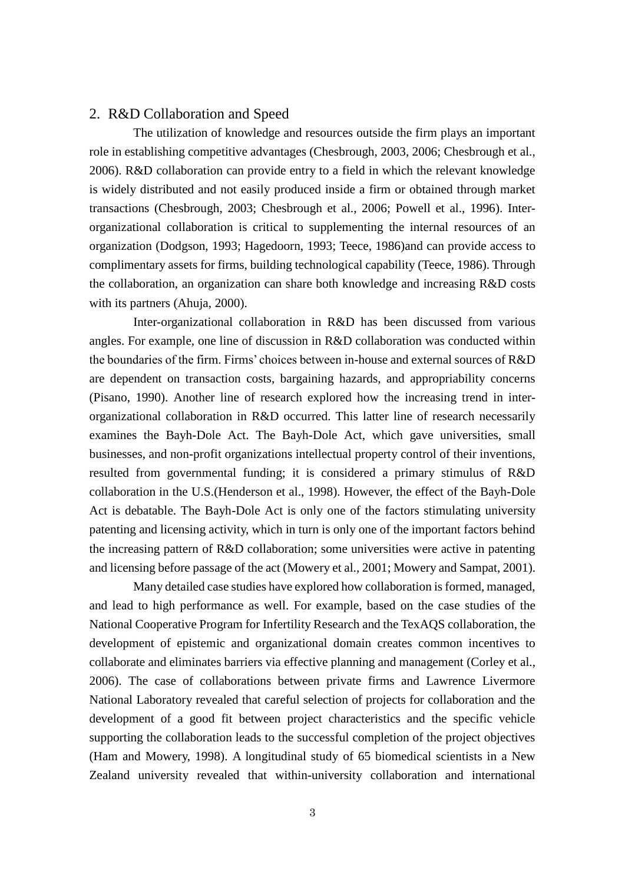### 2. R&D Collaboration and Speed

The utilization of knowledge and resources outside the firm plays an important role in establishing competitive advantages [\(Chesbrough, 2003,](#page-26-1) [2006;](#page-26-3) [Chesbrough et al.,](#page-26-2)  [2006\)](#page-26-2). R&D collaboration can provide entry to a field in which the relevant knowledge is widely distributed and not easily produced inside a firm or obtained through market transactions [\(Chesbrough, 2003;](#page-26-1) [Chesbrough et al., 2006;](#page-26-2) [Powell et al., 1996\)](#page-29-0). Interorganizational collaboration is critical to supplementing the internal resources of an organization [\(Dodgson, 1993;](#page-27-4) [Hagedoorn, 1993;](#page-27-5) [Teece, 1986\)](#page-29-4)and can provide access to complimentary assets for firms, building technological capability [\(Teece, 1986\)](#page-29-4). Through the collaboration, an organization can share both knowledge and increasing R&D costs with its partners [\(Ahuja, 2000\)](#page-26-4).

Inter-organizational collaboration in R&D has been discussed from various angles. For example, one line of discussion in R&D collaboration was conducted within the boundaries of the firm. Firms' choices between in-house and external sources of R&D are dependent on transaction costs, bargaining hazards, and appropriability concerns [\(Pisano, 1990\)](#page-29-5). Another line of research explored how the increasing trend in interorganizational collaboration in R&D occurred. This latter line of research necessarily examines the Bayh-Dole Act. The Bayh-Dole Act, which gave universities, small businesses, and non-profit organizations intellectual property control of their inventions, resulted from governmental funding; it is considered a primary stimulus of R&D collaboration in the U.S.[\(Henderson et al., 1998\)](#page-28-1). However, the effect of the Bayh-Dole Act is debatable. The Bayh-Dole Act is only one of the factors stimulating university patenting and licensing activity, which in turn is only one of the important factors behind the increasing pattern of R&D collaboration; some universities were active in patenting and licensing before passage of the act [\(Mowery et al., 2001;](#page-28-2) [Mowery and Sampat, 2001\)](#page-28-3).

Many detailed case studies have explored how collaboration is formed, managed, and lead to high performance as well. For example, based on the case studies of the National Cooperative Program for Infertility Research and the TexAQS collaboration, the development of epistemic and organizational domain creates common incentives to collaborate and eliminates barriers via effective planning and management [\(Corley et al.,](#page-27-6)  [2006\)](#page-27-6). The case of collaborations between private firms and Lawrence Livermore National Laboratory revealed that careful selection of projects for collaboration and the development of a good fit between project characteristics and the specific vehicle supporting the collaboration leads to the successful completion of the project objectives [\(Ham and Mowery, 1998\)](#page-27-7). A longitudinal study of 65 biomedical scientists in a New Zealand university revealed that within-university collaboration and international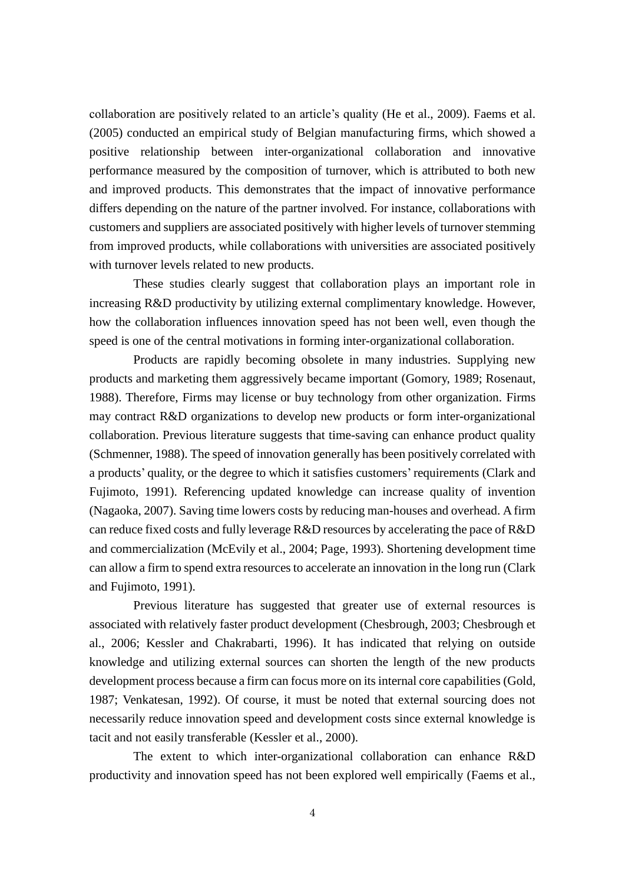collaboration are positively related to an article's quality [\(He et al., 2009\)](#page-27-8). Faems et al. (2005) conducted an empirical study of Belgian manufacturing firms, which showed a positive relationship between inter-organizational collaboration and innovative performance measured by the composition of turnover, which is attributed to both new and improved products. This demonstrates that the impact of innovative performance differs depending on the nature of the partner involved. For instance, collaborations with customers and suppliers are associated positively with higher levels of turnover stemming from improved products, while collaborations with universities are associated positively with turnover levels related to new products.

These studies clearly suggest that collaboration plays an important role in increasing R&D productivity by utilizing external complimentary knowledge. However, how the collaboration influences innovation speed has not been well, even though the speed is one of the central motivations in forming inter-organizational collaboration.

Products are rapidly becoming obsolete in many industries. Supplying new products and marketing them aggressively became important [\(Gomory, 1989;](#page-27-3) [Rosenaut,](#page-29-3)  [1988\)](#page-29-3). Therefore, Firms may license or buy technology from other organization. Firms may contract R&D organizations to develop new products or form inter-organizational collaboration. Previous literature suggests that time-saving can enhance product quality [\(Schmenner, 1988\)](#page-29-6). The speed of innovation generally has been positively correlated with a products' quality, or the degree to which it satisfies customers' requirements [\(Clark and](#page-26-5)  [Fujimoto, 1991\)](#page-26-5). Referencing updated knowledge can increase quality of invention [\(Nagaoka, 2007\)](#page-28-4). Saving time lowers costs by reducing man-houses and overhead. A firm can reduce fixed costs and fully leverage R&D resources by accelerating the pace of R&D and commercialization [\(McEvily et al., 2004;](#page-28-5) [Page, 1993\)](#page-29-7). Shortening development time can allow a firm to spend extra resources to accelerate an innovation in the long run [\(Clark](#page-26-5)  [and Fujimoto, 1991\)](#page-26-5).

Previous literature has suggested that greater use of external resources is associated with relatively faster product development [\(Chesbrough, 2003;](#page-26-1) [Chesbrough et](#page-26-2)  [al., 2006;](#page-26-2) [Kessler and Chakrabarti, 1996\)](#page-28-6). It has indicated that relying on outside knowledge and utilizing external sources can shorten the length of the new products development process because a firm can focus more on its internal core capabilities [\(Gold,](#page-27-9)  [1987;](#page-27-9) [Venkatesan, 1992\)](#page-29-8). Of course, it must be noted that external sourcing does not necessarily reduce innovation speed and development costs since external knowledge is tacit and not easily transferable [\(Kessler et al., 2000\)](#page-28-7).

The extent to which inter-organizational collaboration can enhance R&D productivity and innovation speed has not been explored well empirically [\(Faems et al.,](#page-27-10)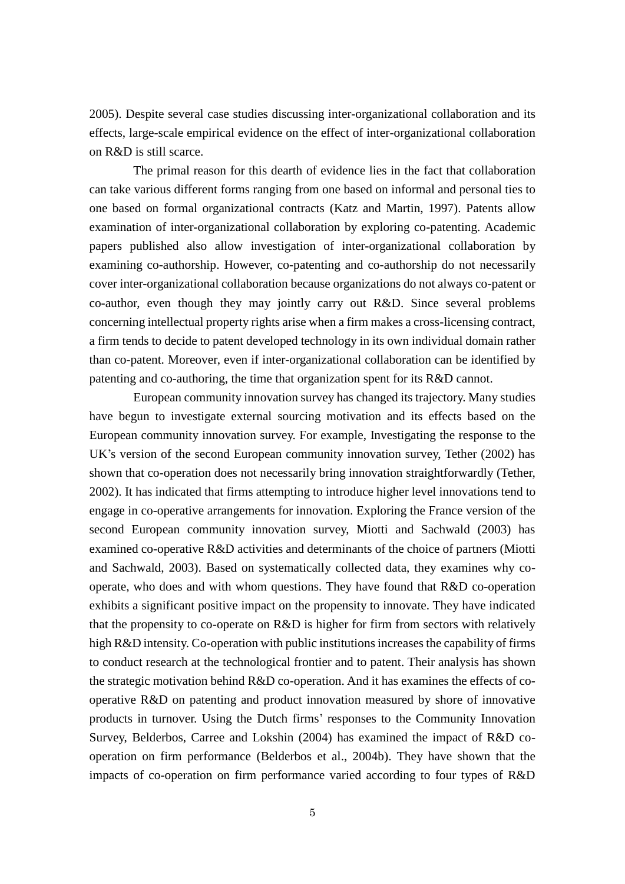[2005\)](#page-27-10). Despite several case studies discussing inter-organizational collaboration and its effects, large-scale empirical evidence on the effect of inter-organizational collaboration on R&D is still scarce.

The primal reason for this dearth of evidence lies in the fact that collaboration can take various different forms ranging from one based on informal and personal ties to one based on formal organizational contracts [\(Katz and Martin, 1997\)](#page-28-8). Patents allow examination of inter-organizational collaboration by exploring co-patenting. Academic papers published also allow investigation of inter-organizational collaboration by examining co-authorship. However, co-patenting and co-authorship do not necessarily cover inter-organizational collaboration because organizations do not always co-patent or co-author, even though they may jointly carry out R&D. Since several problems concerning intellectual property rights arise when a firm makes a cross-licensing contract, a firm tends to decide to patent developed technology in its own individual domain rather than co-patent. Moreover, even if inter-organizational collaboration can be identified by patenting and co-authoring, the time that organization spent for its R&D cannot.

European community innovation survey has changed its trajectory. Many studies have begun to investigate external sourcing motivation and its effects based on the European community innovation survey. For example, Investigating the response to the UK's version of the second European community innovation survey, Tether (2002) has shown that co-operation does not necessarily bring innovation straightforwardly [\(Tether,](#page-29-9)  [2002\)](#page-29-9). It has indicated that firms attempting to introduce higher level innovations tend to engage in co-operative arrangements for innovation. Exploring the France version of the second European community innovation survey, Miotti and Sachwald (2003) has examined co-operative R&D activities and determinants of the choice of partners [\(Miotti](#page-28-9)  [and Sachwald, 2003\)](#page-28-9). Based on systematically collected data, they examines why cooperate, who does and with whom questions. They have found that R&D co-operation exhibits a significant positive impact on the propensity to innovate. They have indicated that the propensity to co-operate on R&D is higher for firm from sectors with relatively high R&D intensity. Co-operation with public institutions increases the capability of firms to conduct research at the technological frontier and to patent. Their analysis has shown the strategic motivation behind R&D co-operation. And it has examines the effects of cooperative R&D on patenting and product innovation measured by shore of innovative products in turnover. Using the Dutch firms' responses to the Community Innovation Survey, Belderbos, Carree and Lokshin (2004) has examined the impact of R&D cooperation on firm performance [\(Belderbos et al., 2004b\)](#page-26-6). They have shown that the impacts of co-operation on firm performance varied according to four types of R&D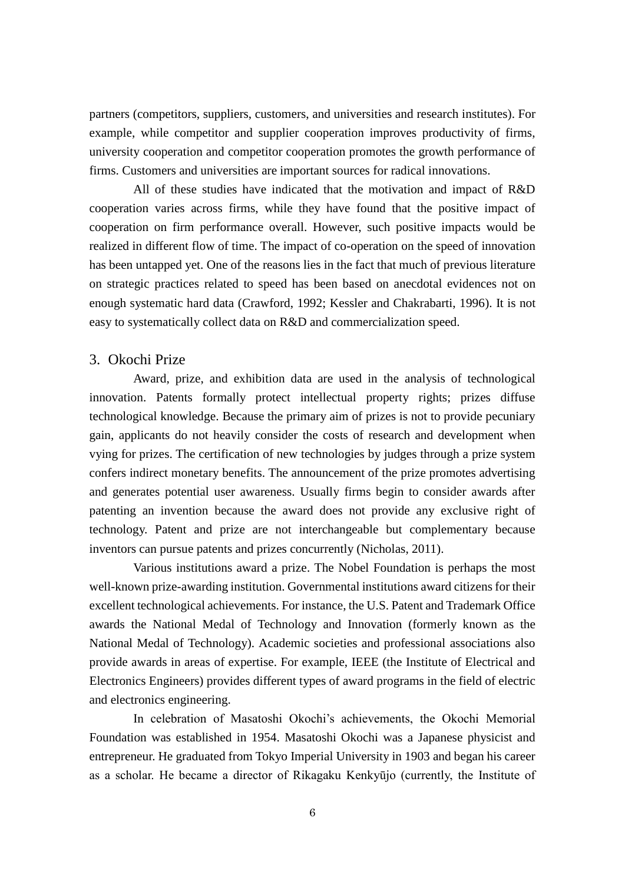partners (competitors, suppliers, customers, and universities and research institutes). For example, while competitor and supplier cooperation improves productivity of firms, university cooperation and competitor cooperation promotes the growth performance of firms. Customers and universities are important sources for radical innovations.

All of these studies have indicated that the motivation and impact of R&D cooperation varies across firms, while they have found that the positive impact of cooperation on firm performance overall. However, such positive impacts would be realized in different flow of time. The impact of co-operation on the speed of innovation has been untapped yet. One of the reasons lies in the fact that much of previous literature on strategic practices related to speed has been based on anecdotal evidences not on enough systematic hard data [\(Crawford, 1992;](#page-27-11) [Kessler and Chakrabarti, 1996\)](#page-28-6). It is not easy to systematically collect data on R&D and commercialization speed.

### 3. Okochi Prize

Award, prize, and exhibition data are used in the analysis of technological innovation. Patents formally protect intellectual property rights; prizes diffuse technological knowledge. Because the primary aim of prizes is not to provide pecuniary gain, applicants do not heavily consider the costs of research and development when vying for prizes. The certification of new technologies by judges through a prize system confers indirect monetary benefits. The announcement of the prize promotes advertising and generates potential user awareness. Usually firms begin to consider awards after patenting an invention because the award does not provide any exclusive right of technology. Patent and prize are not interchangeable but complementary because inventors can pursue patents and prizes concurrently (Nicholas, 2011).

Various institutions award a prize. The Nobel Foundation is perhaps the most well-known prize-awarding institution. Governmental institutions award citizens for their excellent technological achievements. For instance, the U.S. Patent and Trademark Office awards the National Medal of Technology and Innovation (formerly known as the National Medal of Technology). Academic societies and professional associations also provide awards in areas of expertise. For example, IEEE (the Institute of Electrical and Electronics Engineers) provides different types of award programs in the field of electric and electronics engineering.

In celebration of Masatoshi Okochi's achievements, the Okochi Memorial Foundation was established in 1954. Masatoshi Okochi was a Japanese physicist and entrepreneur. He graduated from Tokyo Imperial University in 1903 and began his career as a scholar. He became a director of Rikagaku Kenkyūjo (currently, the Institute of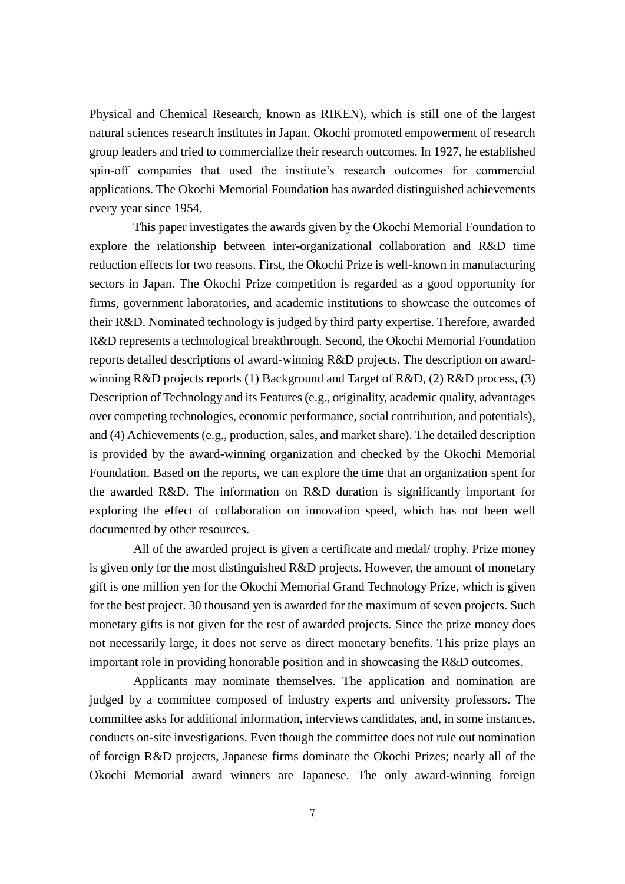Physical and Chemical Research, known as RIKEN), which is still one of the largest natural sciences research institutes in Japan. Okochi promoted empowerment of research group leaders and tried to commercialize their research outcomes. In 1927, he established spin-off companies that used the institute's research outcomes for commercial applications. The Okochi Memorial Foundation has awarded distinguished achievements every year since 1954.

This paper investigates the awards given by the Okochi Memorial Foundation to explore the relationship between inter-organizational collaboration and R&D time reduction effects for two reasons. First, the Okochi Prize is well-known in manufacturing sectors in Japan. The Okochi Prize competition is regarded as a good opportunity for firms, government laboratories, and academic institutions to showcase the outcomes of their R&D. Nominated technology is judged by third party expertise. Therefore, awarded R&D represents a technological breakthrough. Second, the Okochi Memorial Foundation reports detailed descriptions of award-winning R&D projects. The description on awardwinning R&D projects reports (1) Background and Target of R&D, (2) R&D process, (3) Description of Technology and its Features (e.g., originality, academic quality, advantages over competing technologies, economic performance, social contribution, and potentials), and (4) Achievements (e.g., production, sales, and market share). The detailed description is provided by the award-winning organization and checked by the Okochi Memorial Foundation. Based on the reports, we can explore the time that an organization spent for the awarded R&D. The information on R&D duration is significantly important for exploring the effect of collaboration on innovation speed, which has not been well documented by other resources.

All of the awarded project is given a certificate and medal/ trophy. Prize money is given only for the most distinguished R&D projects. However, the amount of monetary gift is one million yen for the Okochi Memorial Grand Technology Prize, which is given for the best project. 30 thousand yen is awarded for the maximum of seven projects. Such monetary gifts is not given for the rest of awarded projects. Since the prize money does not necessarily large, it does not serve as direct monetary benefits. This prize plays an important role in providing honorable position and in showcasing the R&D outcomes.

Applicants may nominate themselves. The application and nomination are judged by a committee composed of industry experts and university professors. The committee asks for additional information, interviews candidates, and, in some instances, conducts on-site investigations. Even though the committee does not rule out nomination of foreign R&D projects, Japanese firms dominate the Okochi Prizes; nearly all of the Okochi Memorial award winners are Japanese. The only award-winning foreign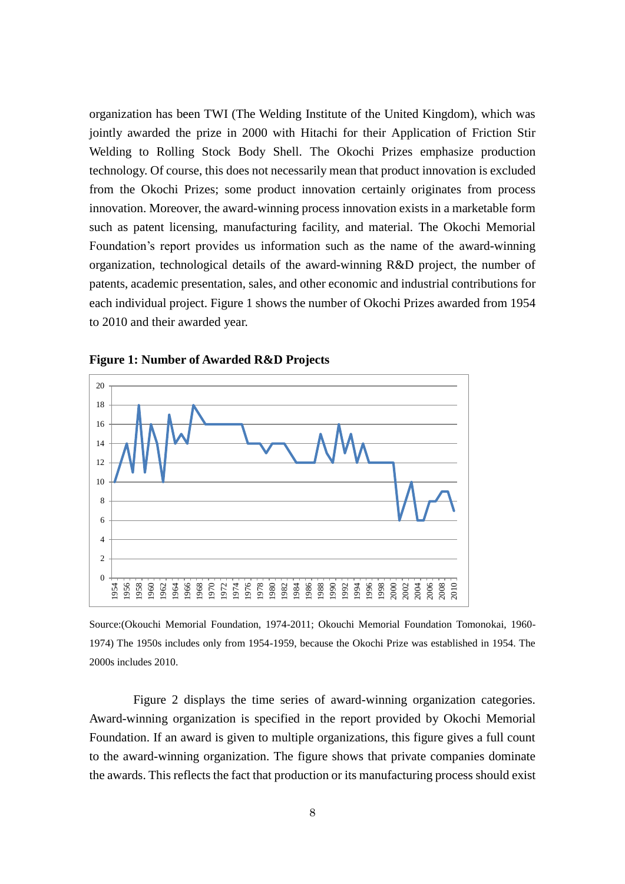organization has been TWI (The Welding Institute of the United Kingdom), which was jointly awarded the prize in 2000 with Hitachi for their Application of Friction Stir Welding to Rolling Stock Body Shell. The Okochi Prizes emphasize production technology. Of course, this does not necessarily mean that product innovation is excluded from the Okochi Prizes; some product innovation certainly originates from process innovation. Moreover, the award-winning process innovation exists in a marketable form such as patent licensing, manufacturing facility, and material. The Okochi Memorial Foundation's report provides us information such as the name of the award-winning organization, technological details of the award-winning R&D project, the number of patents, academic presentation, sales, and other economic and industrial contributions for each individual project. Figure 1 shows the number of Okochi Prizes awarded from 1954 to 2010 and their awarded year.



**Figure 1: Number of Awarded R&D Projects**

Source:[\(Okouchi Memorial Foundation, 1974-2011;](#page-28-10) [Okouchi Memorial Foundation Tomonokai, 1960-](#page-29-10) [1974\)](#page-29-10) The 1950s includes only from 1954-1959, because the Okochi Prize was established in 1954. The 2000s includes 2010.

Figure 2 displays the time series of award-winning organization categories. Award-winning organization is specified in the report provided by Okochi Memorial Foundation. If an award is given to multiple organizations, this figure gives a full count to the award-winning organization. The figure shows that private companies dominate the awards. This reflects the fact that production or its manufacturing process should exist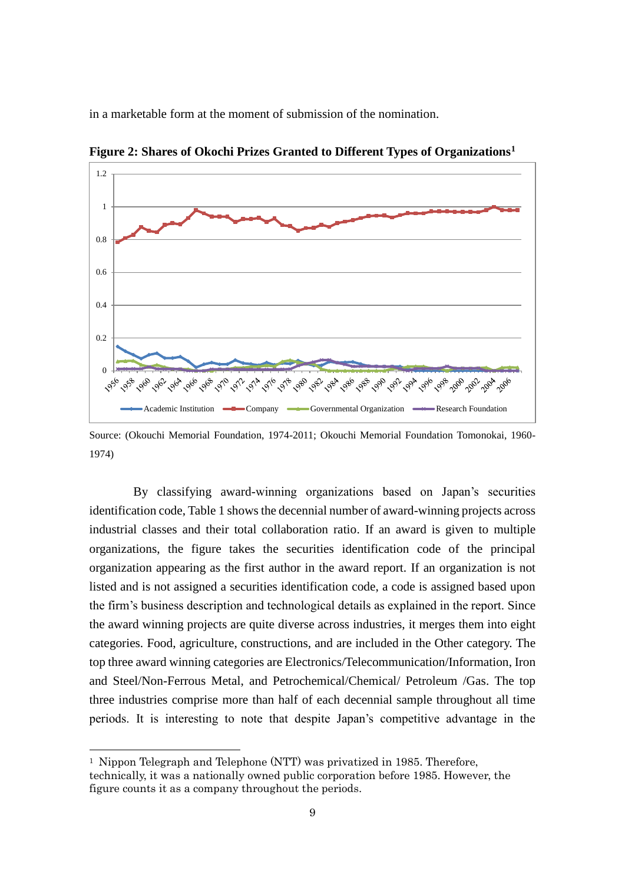in a marketable form at the moment of submission of the nomination.



**Figure 2: Shares of Okochi Prizes Granted to Different Types of Organizations<sup>1</sup>**

Source: [\(Okouchi Memorial Foundation, 1974-2011;](#page-28-10) [Okouchi Memorial Foundation Tomonokai, 1960-](#page-29-10) [1974\)](#page-29-10)

By classifying award-winning organizations based on Japan's securities identification code, Table 1 shows the decennial number of award-winning projects across industrial classes and their total collaboration ratio. If an award is given to multiple organizations, the figure takes the securities identification code of the principal organization appearing as the first author in the award report. If an organization is not listed and is not assigned a securities identification code, a code is assigned based upon the firm's business description and technological details as explained in the report. Since the award winning projects are quite diverse across industries, it merges them into eight categories. Food, agriculture, constructions, and are included in the Other category. The top three award winning categories are Electronics/Telecommunication/Information, Iron and Steel/Non-Ferrous Metal, and Petrochemical/Chemical/ Petroleum /Gas. The top three industries comprise more than half of each decennial sample throughout all time periods. It is interesting to note that despite Japan's competitive advantage in the

-

<sup>1</sup> Nippon Telegraph and Telephone (NTT) was privatized in 1985. Therefore, technically, it was a nationally owned public corporation before 1985. However, the figure counts it as a company throughout the periods.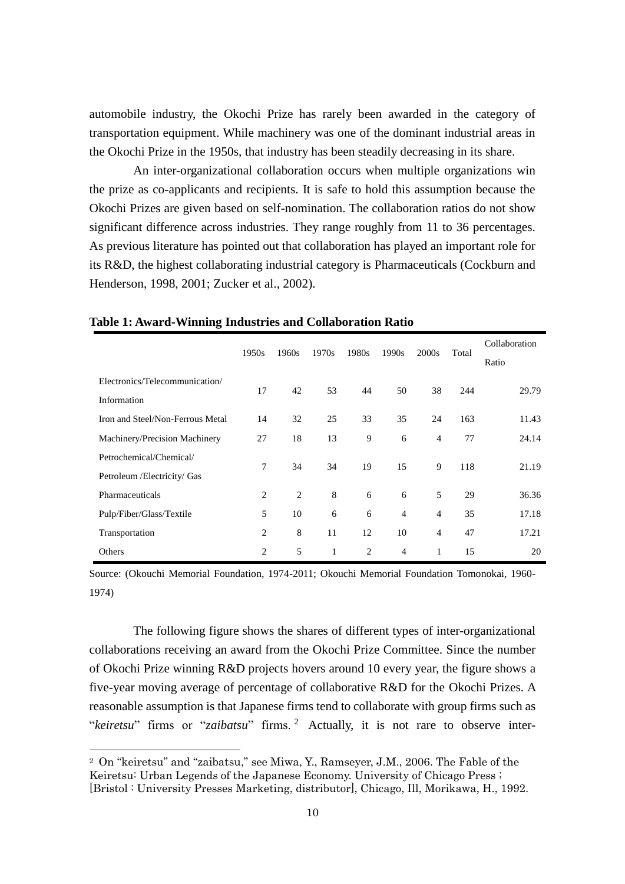automobile industry, the Okochi Prize has rarely been awarded in the category of transportation equipment. While machinery was one of the dominant industrial areas in the Okochi Prize in the 1950s, that industry has been steadily decreasing in its share.

An inter-organizational collaboration occurs when multiple organizations win the prize as co-applicants and recipients. It is safe to hold this assumption because the Okochi Prizes are given based on self-nomination. The collaboration ratios do not show significant difference across industries. They range roughly from 11 to 36 percentages. As previous literature has pointed out that collaboration has played an important role for its R&D, the highest collaborating industrial category is Pharmaceuticals [\(Cockburn and](#page-27-12)  [Henderson, 1998,](#page-27-12) [2001;](#page-27-13) [Zucker et al., 2002\)](#page-29-11).

|                                  | 1950s | 1960s          | 1970s | 1980s          | 1990s | 2000s          | Total | Collaboration<br>Ratio |
|----------------------------------|-------|----------------|-------|----------------|-------|----------------|-------|------------------------|
| Electronics/Telecommunication/   |       |                |       |                |       |                |       |                        |
| Information                      | 17    | 42             | 53    | 44             | 50    | 38             | 244   | 29.79                  |
| Iron and Steel/Non-Ferrous Metal | 14    | 32             | 25    | 33             | 35    | 24             | 163   | 11.43                  |
| Machinery/Precision Machinery    | 27    | 18             | 13    | 9              | 6     | $\overline{4}$ | 77    | 24.14                  |
| Petrochemical/Chemical/          |       |                |       |                |       |                |       |                        |
| Petroleum / Electricity / Gas    | 7     | 34             | 34    | 19             | 15    | 9              | 118   | 21.19                  |
| Pharmaceuticals                  | 2     | $\overline{2}$ | 8     | 6              | 6     | 5              | 29    | 36.36                  |
| Pulp/Fiber/Glass/Textile         | 5     | 10             | 6     | 6              | 4     | $\overline{4}$ | 35    | 17.18                  |
| Transportation                   | 2     | 8              | 11    | 12             | 10    | $\overline{4}$ | 47    | 17.21                  |
| Others                           | 2     | 5              | 1     | $\overline{2}$ | 4     | 1              | 15    | 20                     |

#### **Table 1: Award-Winning Industries and Collaboration Ratio**

Source: [\(Okouchi Memorial Foundation, 1974-2011;](#page-28-10) [Okouchi Memorial Foundation Tomonokai, 1960-](#page-29-10) [1974\)](#page-29-10)

The following figure shows the shares of different types of inter-organizational collaborations receiving an award from the Okochi Prize Committee. Since the number of Okochi Prize winning R&D projects hovers around 10 every year, the figure shows a five-year moving average of percentage of collaborative R&D for the Okochi Prizes. A reasonable assumption is that Japanese firms tend to collaborate with group firms such as "*keiretsu*" firms or "*zaibatsu*" firms. <sup>2</sup> Actually, it is not rare to observe inter-

-

<sup>2</sup> On "keiretsu" and "zaibatsu," see Miwa, Y., Ramseyer, J.M., 2006. The Fable of the Keiretsu: Urban Legends of the Japanese Economy. University of Chicago Press ; [Bristol : University Presses Marketing, distributor], Chicago, Ill, Morikawa, H., 1992.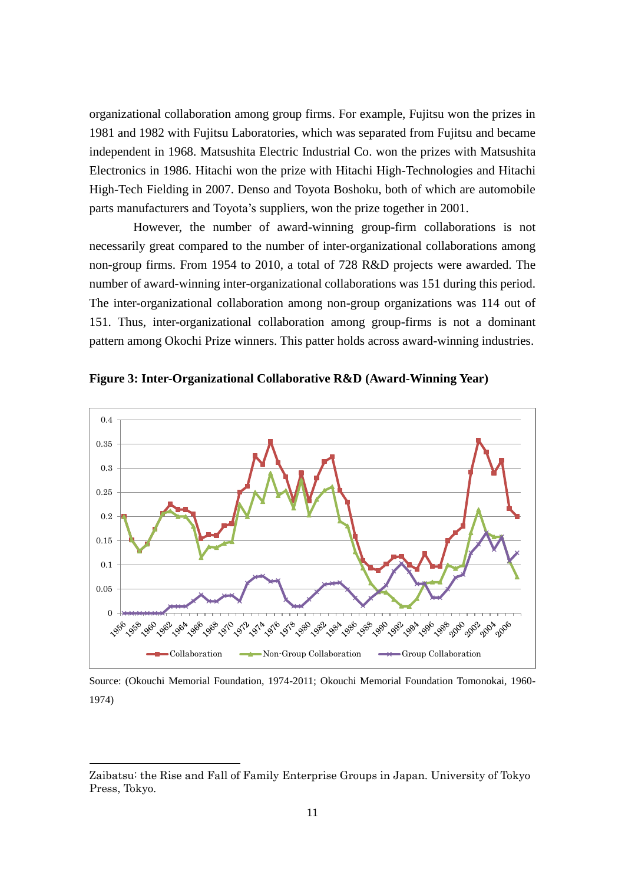organizational collaboration among group firms. For example, Fujitsu won the prizes in 1981 and 1982 with Fujitsu Laboratories, which was separated from Fujitsu and became independent in 1968. Matsushita Electric Industrial Co. won the prizes with Matsushita Electronics in 1986. Hitachi won the prize with Hitachi High-Technologies and Hitachi High-Tech Fielding in 2007. Denso and Toyota Boshoku, both of which are automobile parts manufacturers and Toyota's suppliers, won the prize together in 2001.

However, the number of award-winning group-firm collaborations is not necessarily great compared to the number of inter-organizational collaborations among non-group firms. From 1954 to 2010, a total of 728 R&D projects were awarded. The number of award-winning inter-organizational collaborations was 151 during this period. The inter-organizational collaboration among non-group organizations was 114 out of 151. Thus, inter-organizational collaboration among group-firms is not a dominant pattern among Okochi Prize winners. This patter holds across award-winning industries.



**Figure 3: Inter-Organizational Collaborative R&D (Award-Winning Year)**

Source: [\(Okouchi Memorial Foundation, 1974-2011;](#page-28-10) [Okouchi Memorial Foundation Tomonokai, 1960-](#page-29-10) [1974\)](#page-29-10)

-

Zaibatsu: the Rise and Fall of Family Enterprise Groups in Japan. University of Tokyo Press, Tokyo.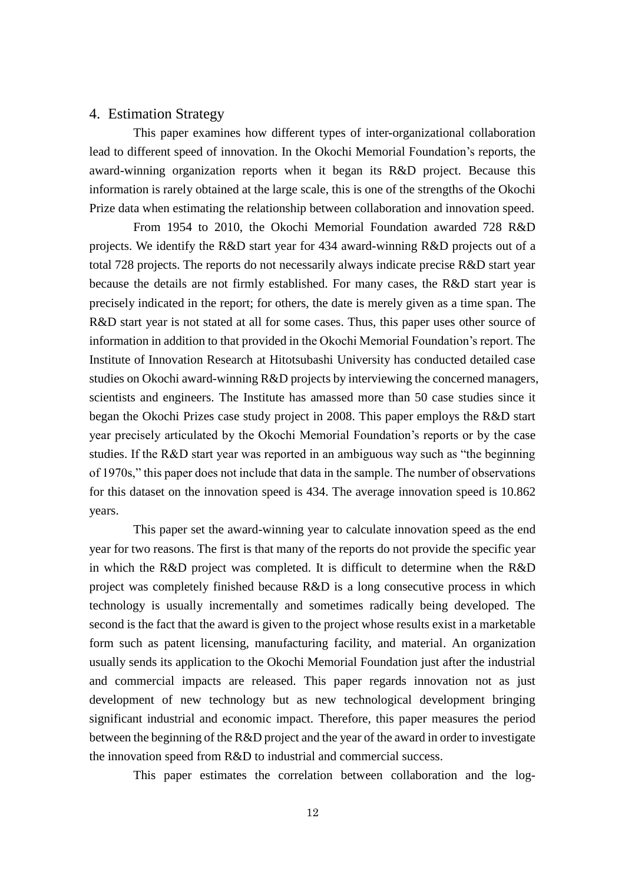### 4. Estimation Strategy

This paper examines how different types of inter-organizational collaboration lead to different speed of innovation. In the Okochi Memorial Foundation's reports, the award-winning organization reports when it began its R&D project. Because this information is rarely obtained at the large scale, this is one of the strengths of the Okochi Prize data when estimating the relationship between collaboration and innovation speed.

From 1954 to 2010, the Okochi Memorial Foundation awarded 728 R&D projects. We identify the R&D start year for 434 award-winning R&D projects out of a total 728 projects. The reports do not necessarily always indicate precise R&D start year because the details are not firmly established. For many cases, the R&D start year is precisely indicated in the report; for others, the date is merely given as a time span. The R&D start year is not stated at all for some cases. Thus, this paper uses other source of information in addition to that provided in the Okochi Memorial Foundation's report. The Institute of Innovation Research at Hitotsubashi University has conducted detailed case studies on Okochi award-winning R&D projects by interviewing the concerned managers, scientists and engineers. The Institute has amassed more than 50 case studies since it began the Okochi Prizes case study project in 2008. This paper employs the R&D start year precisely articulated by the Okochi Memorial Foundation's reports or by the case studies. If the R&D start year was reported in an ambiguous way such as "the beginning of 1970s," this paper does not include that data in the sample. The number of observations for this dataset on the innovation speed is 434. The average innovation speed is 10.862 years.

This paper set the award-winning year to calculate innovation speed as the end year for two reasons. The first is that many of the reports do not provide the specific year in which the R&D project was completed. It is difficult to determine when the R&D project was completely finished because R&D is a long consecutive process in which technology is usually incrementally and sometimes radically being developed. The second is the fact that the award is given to the project whose results exist in a marketable form such as patent licensing, manufacturing facility, and material. An organization usually sends its application to the Okochi Memorial Foundation just after the industrial and commercial impacts are released. This paper regards innovation not as just development of new technology but as new technological development bringing significant industrial and economic impact. Therefore, this paper measures the period between the beginning of the R&D project and the year of the award in order to investigate the innovation speed from R&D to industrial and commercial success.

This paper estimates the correlation between collaboration and the log-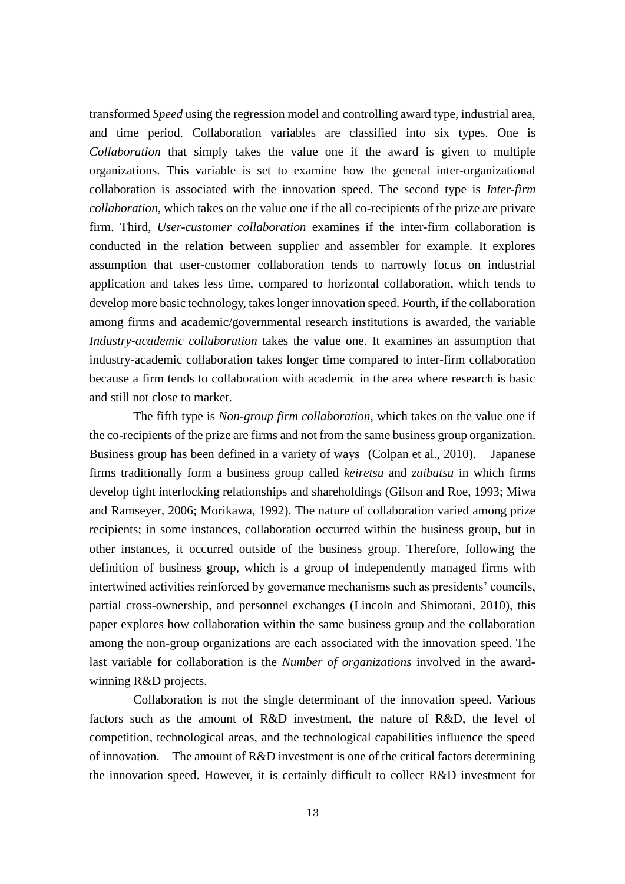transformed *Speed* using the regression model and controlling award type, industrial area, and time period. Collaboration variables are classified into six types. One is *Collaboration* that simply takes the value one if the award is given to multiple organizations. This variable is set to examine how the general inter-organizational collaboration is associated with the innovation speed. The second type is *Inter-firm collaboration*, which takes on the value one if the all co-recipients of the prize are private firm. Third, *User-customer collaboration* examines if the inter-firm collaboration is conducted in the relation between supplier and assembler for example. It explores assumption that user-customer collaboration tends to narrowly focus on industrial application and takes less time, compared to horizontal collaboration, which tends to develop more basic technology, takes longer innovation speed. Fourth, if the collaboration among firms and academic/governmental research institutions is awarded, the variable *Industry-academic collaboration* takes the value one. It examines an assumption that industry-academic collaboration takes longer time compared to inter-firm collaboration because a firm tends to collaboration with academic in the area where research is basic and still not close to market.

The fifth type is *Non-group firm collaboration*, which takes on the value one if the co-recipients of the prize are firms and not from the same business group organization. Business group has been defined in a variety of ways [\(Colpan et al., 2010\)](#page-27-14). Japanese firms traditionally form a business group called *keiretsu* and *zaibatsu* in which firms develop tight interlocking relationships and shareholdings [\(Gilson and Roe, 1993;](#page-27-15) [Miwa](#page-28-11)  [and Ramseyer, 2006;](#page-28-11) [Morikawa, 1992\)](#page-28-12). The nature of collaboration varied among prize recipients; in some instances, collaboration occurred within the business group, but in other instances, it occurred outside of the business group. Therefore, following the definition of business group, which is a group of independently managed firms with intertwined activities reinforced by governance mechanisms such as presidents' councils, partial cross-ownership, and personnel exchanges [\(Lincoln and Shimotani, 2010\)](#page-28-13), this paper explores how collaboration within the same business group and the collaboration among the non-group organizations are each associated with the innovation speed. The last variable for collaboration is the *Number of organizations* involved in the awardwinning R&D projects.

Collaboration is not the single determinant of the innovation speed. Various factors such as the amount of R&D investment, the nature of R&D, the level of competition, technological areas, and the technological capabilities influence the speed of innovation. The amount of R&D investment is one of the critical factors determining the innovation speed. However, it is certainly difficult to collect R&D investment for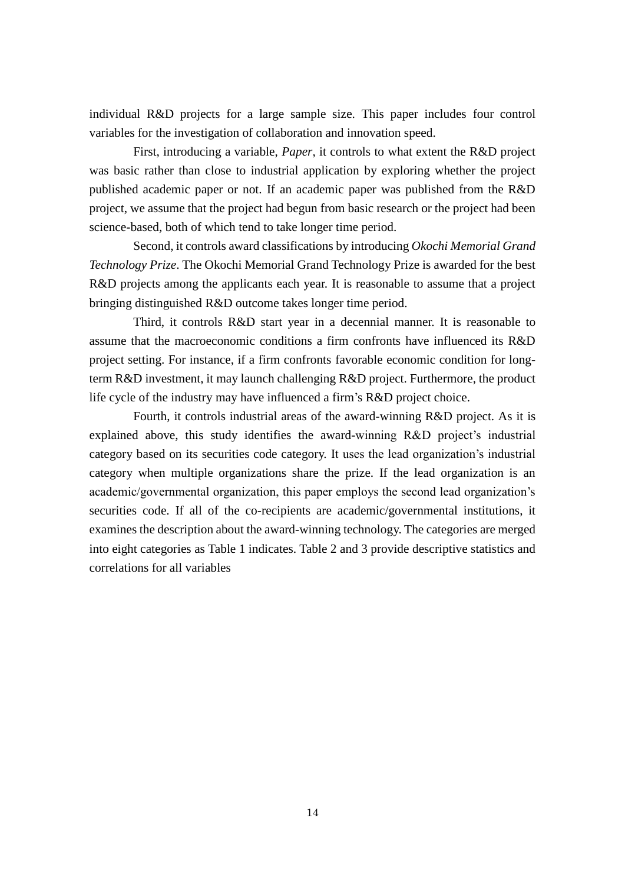individual R&D projects for a large sample size. This paper includes four control variables for the investigation of collaboration and innovation speed.

First, introducing a variable, *Paper*, it controls to what extent the R&D project was basic rather than close to industrial application by exploring whether the project published academic paper or not. If an academic paper was published from the R&D project, we assume that the project had begun from basic research or the project had been science-based, both of which tend to take longer time period.

Second, it controls award classifications by introducing *Okochi Memorial Grand Technology Prize*. The Okochi Memorial Grand Technology Prize is awarded for the best R&D projects among the applicants each year. It is reasonable to assume that a project bringing distinguished R&D outcome takes longer time period.

Third, it controls R&D start year in a decennial manner. It is reasonable to assume that the macroeconomic conditions a firm confronts have influenced its R&D project setting. For instance, if a firm confronts favorable economic condition for longterm R&D investment, it may launch challenging R&D project. Furthermore, the product life cycle of the industry may have influenced a firm's R&D project choice.

Fourth, it controls industrial areas of the award-winning R&D project. As it is explained above, this study identifies the award-winning R&D project's industrial category based on its securities code category. It uses the lead organization's industrial category when multiple organizations share the prize. If the lead organization is an academic/governmental organization, this paper employs the second lead organization's securities code. If all of the co-recipients are academic/governmental institutions, it examines the description about the award-winning technology. The categories are merged into eight categories as Table 1 indicates. Table 2 and 3 provide descriptive statistics and correlations for all variables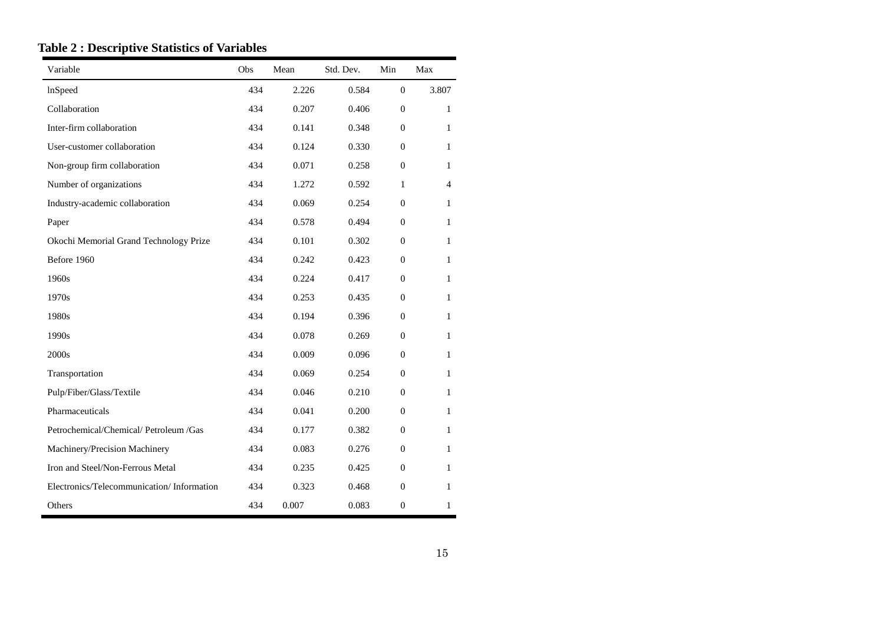| Variable                                   | Obs | Mean  | Std. Dev. | Min              | Max          |
|--------------------------------------------|-----|-------|-----------|------------------|--------------|
| <b>InSpeed</b>                             | 434 | 2.226 | 0.584     | $\overline{0}$   | 3.807        |
| Collaboration                              | 434 | 0.207 | 0.406     | $\overline{0}$   | $\mathbf{1}$ |
| Inter-firm collaboration                   | 434 | 0.141 | 0.348     | $\theta$         | 1            |
| User-customer collaboration                | 434 | 0.124 | 0.330     | $\overline{0}$   | 1            |
| Non-group firm collaboration               | 434 | 0.071 | 0.258     | $\theta$         | 1            |
| Number of organizations                    | 434 | 1.272 | 0.592     | $\mathbf{1}$     | 4            |
| Industry-academic collaboration            | 434 | 0.069 | 0.254     | $\theta$         | 1            |
| Paper                                      | 434 | 0.578 | 0.494     | $\overline{0}$   | $\mathbf{1}$ |
| Okochi Memorial Grand Technology Prize     | 434 | 0.101 | 0.302     | $\theta$         | $\mathbf{1}$ |
| Before 1960                                | 434 | 0.242 | 0.423     | $\overline{0}$   | $\mathbf{1}$ |
| 1960s                                      | 434 | 0.224 | 0.417     | $\theta$         | $\mathbf{1}$ |
| 1970s                                      | 434 | 0.253 | 0.435     | $\overline{0}$   | $\mathbf{1}$ |
| 1980s                                      | 434 | 0.194 | 0.396     | $\theta$         | $\mathbf{1}$ |
| 1990s                                      | 434 | 0.078 | 0.269     | $\overline{0}$   | 1            |
| 2000s                                      | 434 | 0.009 | 0.096     | $\theta$         | 1            |
| Transportation                             | 434 | 0.069 | 0.254     | $\mathbf{0}$     | $\mathbf{1}$ |
| Pulp/Fiber/Glass/Textile                   | 434 | 0.046 | 0.210     | $\overline{0}$   | $\mathbf{1}$ |
| Pharmaceuticals                            | 434 | 0.041 | 0.200     | $\mathbf{0}$     | $\mathbf{1}$ |
| Petrochemical/Chemical/Petroleum/Gas       | 434 | 0.177 | 0.382     | $\overline{0}$   | $\mathbf{1}$ |
| Machinery/Precision Machinery              | 434 | 0.083 | 0.276     | $\theta$         | 1            |
| Iron and Steel/Non-Ferrous Metal           | 434 | 0.235 | 0.425     | $\overline{0}$   | $\mathbf{1}$ |
| Electronics/Telecommunication/ Information | 434 | 0.323 | 0.468     | $\overline{0}$   | $\mathbf{1}$ |
| Others                                     | 434 | 0.007 | 0.083     | $\boldsymbol{0}$ | 1            |

### **Table 2 : Descriptive Statistics of Variables**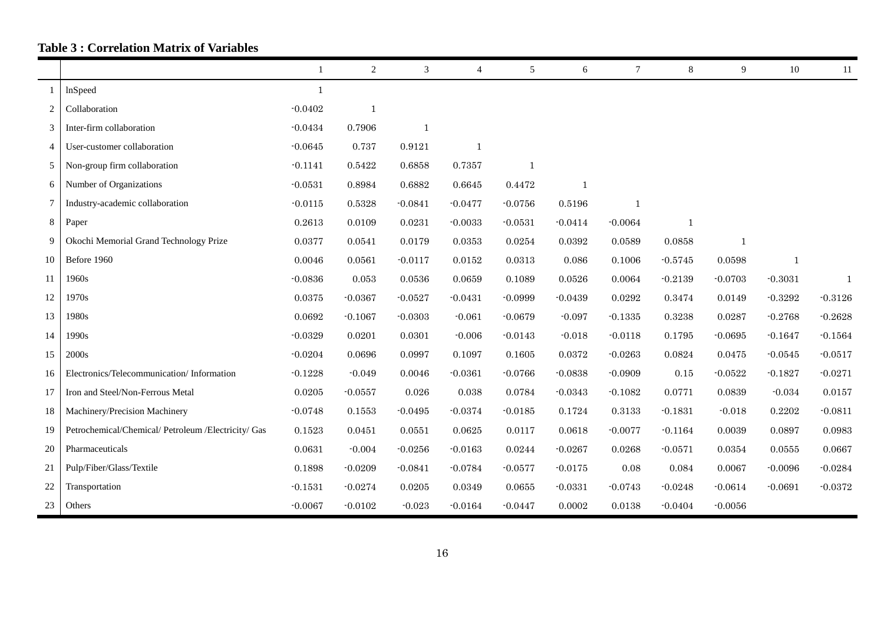# **Table 3 : Correlation Matrix of Variables**

|                |                                                     | -1        | 2              | 3            | 4            | 5            | 6            | $\tau$       | 8            | 9            | 10           | 11        |
|----------------|-----------------------------------------------------|-----------|----------------|--------------|--------------|--------------|--------------|--------------|--------------|--------------|--------------|-----------|
| $\mathbf{1}$   | lnSpeed                                             | 1         |                |              |              |              |              |              |              |              |              |           |
| 2              | Collaboration                                       | $-0.0402$ | $\overline{1}$ |              |              |              |              |              |              |              |              |           |
| 3              | Inter-firm collaboration                            | $-0.0434$ | 0.7906         | $\mathbf{1}$ |              |              |              |              |              |              |              |           |
| $\overline{4}$ | User-customer collaboration                         | $-0.0645$ | 0.737          | 0.9121       | $\mathbf{1}$ |              |              |              |              |              |              |           |
| 5              | Non-group firm collaboration                        | $-0.1141$ | 0.5422         | 0.6858       | 0.7357       | $\mathbf{1}$ |              |              |              |              |              |           |
| 6              | Number of Organizations                             | $-0.0531$ | 0.8984         | 0.6882       | 0.6645       | 0.4472       | $\mathbf{1}$ |              |              |              |              |           |
| 7              | Industry-academic collaboration                     | $-0.0115$ | 0.5328         | $-0.0841$    | $-0.0477$    | $-0.0756$    | 0.5196       | $\mathbf{1}$ |              |              |              |           |
| 8              | Paper                                               | 0.2613    | 0.0109         | 0.0231       | $-0.0033$    | $-0.0531$    | $-0.0414$    | $-0.0064$    | $\mathbf{1}$ |              |              |           |
| 9              | Okochi Memorial Grand Technology Prize              | 0.0377    | 0.0541         | 0.0179       | 0.0353       | 0.0254       | 0.0392       | 0.0589       | 0.0858       | 1            |              |           |
| 10             | Before 1960                                         | 0.0046    | 0.0561         | $-0.0117$    | 0.0152       | 0.0313       | 0.086        | 0.1006       | $-0.5745$    | 0.0598       | $\mathbf{1}$ |           |
| 11             | 1960s                                               | $-0.0836$ | 0.053          | 0.0536       | 0.0659       | 0.1089       | 0.0526       | 0.0064       | $-0.2139$    | $-0.0703$    | $-0.3031$    | 1         |
| 12             | 1970s                                               | 0.0375    | $-0.0367$      | $-0.0527$    | $-0.0431$    | $-0.0999$    | $-0.0439$    | 0.0292       | 0.3474       | 0.0149       | $-0.3292$    | $-0.3126$ |
| 13             | 1980s                                               | 0.0692    | $-0.1067$      | $-0.0303$    | $-0.061$     | $-0.0679$    | $-0.097$     | $-0.1335$    | 0.3238       | 0.0287       | $-0.2768$    | $-0.2628$ |
| 14             | 1990s                                               | $-0.0329$ | 0.0201         | 0.0301       | $-0.006$     | $-0.0143$    | $-0.018$     | $-0.0118$    | 0.1795       | $-0.0695$    | $-0.1647$    | $-0.1564$ |
| 15             | 2000s                                               | $-0.0204$ | 0.0696         | 0.0997       | 0.1097       | 0.1605       | 0.0372       | $-0.0263$    | 0.0824       | 0.0475       | $-0.0545$    | $-0.0517$ |
| 16             | Electronics/Telecommunication/Information           | $-0.1228$ | $-0.049$       | 0.0046       | $-0.0361$    | $-0.0766$    | $-0.0838$    | $-0.0909$    | 0.15         | $-0.0522$    | $-0.1827$    | $-0.0271$ |
| 17             | Iron and Steel/Non-Ferrous Metal                    | 0.0205    | $-0.0557$      | 0.026        | 0.038        | 0.0784       | $-0.0343$    | $-0.1082$    | 0.0771       | 0.0839       | $-0.034$     | 0.0157    |
| 18             | Machinery/Precision Machinery                       | $-0.0748$ | 0.1553         | $-0.0495$    | $-0.0374$    | $-0.0185$    | 0.1724       | 0.3133       | $-0.1831$    | $-0.018$     | 0.2202       | $-0.0811$ |
| 19             | Petrochemical/Chemical/ Petroleum /Electricity/ Gas | 0.1523    | 0.0451         | 0.0551       | 0.0625       | 0.0117       | 0.0618       | $-0.0077$    | $-0.1164$    | 0.0039       | 0.0897       | 0.0983    |
| 20             | Pharmaceuticals                                     | 0.0631    | $-0.004$       | $-0.0256$    | $-0.0163$    | 0.0244       | $-0.0267$    | 0.0268       | $-0.0571$    | $\,0.0354\,$ | 0.0555       | 0.0667    |
| 21             | Pulp/Fiber/Glass/Textile                            | 0.1898    | $-0.0209$      | $-0.0841$    | $-0.0784$    | $-0.0577$    | $-0.0175$    | $0.08\,$     | 0.084        | 0.0067       | $-0.0096$    | $-0.0284$ |
| 22             | Transportation                                      | $-0.1531$ | $-0.0274$      | 0.0205       | 0.0349       | 0.0655       | $-0.0331$    | $-0.0743$    | $-0.0248$    | $-0.0614$    | $-0.0691$    | $-0.0372$ |
| 23             | Others                                              | $-0.0067$ | $-0.0102$      | $-0.023$     | $-0.0164$    | $-0.0447$    | 0.0002       | 0.0138       | $-0.0404$    | $-0.0056$    |              |           |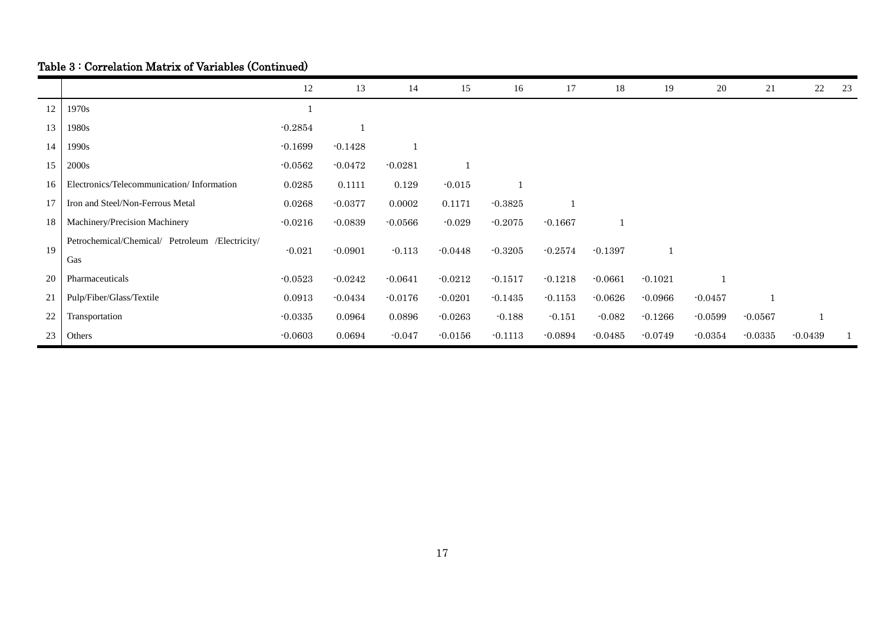# Table 3 : Correlation Matrix of Variables (Continued)

|    |                                                 | 12        | 13        | 14        | 15        | 16        | 17        | 18        | 19           | 20        | 21        | 22        | 23 |
|----|-------------------------------------------------|-----------|-----------|-----------|-----------|-----------|-----------|-----------|--------------|-----------|-----------|-----------|----|
| 12 | 1970s                                           |           |           |           |           |           |           |           |              |           |           |           |    |
| 13 | 1980s                                           | $-0.2854$ |           |           |           |           |           |           |              |           |           |           |    |
| 14 | 1990s                                           | $-0.1699$ | $-0.1428$ |           |           |           |           |           |              |           |           |           |    |
| 15 | 2000s                                           | $-0.0562$ | $-0.0472$ | $-0.0281$ |           |           |           |           |              |           |           |           |    |
| 16 | Electronics/Telecommunication/Information       | 0.0285    | 0.1111    | 0.129     | $-0.015$  |           |           |           |              |           |           |           |    |
| 17 | Iron and Steel/Non-Ferrous Metal                | 0.0268    | $-0.0377$ | 0.0002    | 0.1171    | $-0.3825$ |           |           |              |           |           |           |    |
| 18 | Machinery/Precision Machinery                   | $-0.0216$ | $-0.0839$ | $-0.0566$ | $-0.029$  | $-0.2075$ | $-0.1667$ |           |              |           |           |           |    |
| 19 | Petrochemical/Chemical/ Petroleum /Electricity/ | $-0.021$  | $-0.0901$ | $-0.113$  | $-0.0448$ | $-0.3205$ | $-0.2574$ | $-0.1397$ | $\mathbf{1}$ |           |           |           |    |
|    | Gas                                             |           |           |           |           |           |           |           |              |           |           |           |    |
| 20 | Pharmaceuticals                                 | $-0.0523$ | $-0.0242$ | $-0.0641$ | $-0.0212$ | $-0.1517$ | $-0.1218$ | $-0.0661$ | $-0.1021$    |           |           |           |    |
| 21 | Pulp/Fiber/Glass/Textile                        | 0.0913    | $-0.0434$ | $-0.0176$ | $-0.0201$ | $-0.1435$ | $-0.1153$ | $-0.0626$ | $-0.0966$    | $-0.0457$ | 1         |           |    |
| 22 | Transportation                                  | $-0.0335$ | 0.0964    | 0.0896    | $-0.0263$ | $-0.188$  | $-0.151$  | $-0.082$  | $-0.1266$    | $-0.0599$ | $-0.0567$ |           |    |
| 23 | Others                                          | $-0.0603$ | 0.0694    | $-0.047$  | $-0.0156$ | $-0.1113$ | $-0.0894$ | $-0.0485$ | $-0.0749$    | $-0.0354$ | $-0.0335$ | $-0.0439$ |    |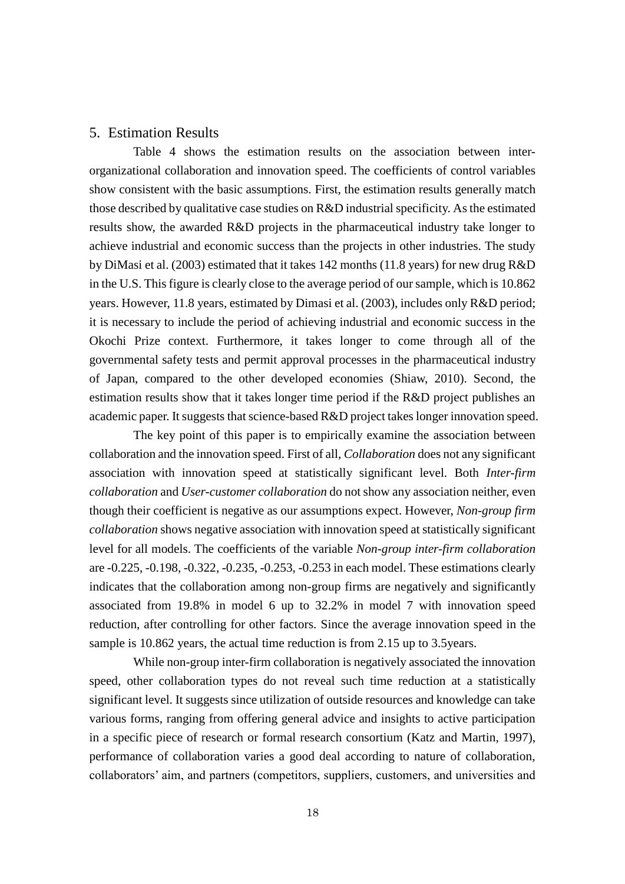### 5. Estimation Results

Table 4 shows the estimation results on the association between interorganizational collaboration and innovation speed. The coefficients of control variables show consistent with the basic assumptions. First, the estimation results generally match those described by qualitative case studies on R&D industrial specificity. As the estimated results show, the awarded R&D projects in the pharmaceutical industry take longer to achieve industrial and economic success than the projects in other industries. The study by DiMasi et al. (2003) estimated that it takes 142 months (11.8 years) for new drug R&D in the U.S. This figure is clearly close to the average period of our sample, which is 10.862 years. However, 11.8 years, estimated by Dimasi et al. (2003), includes only R&D period; it is necessary to include the period of achieving industrial and economic success in the Okochi Prize context. Furthermore, it takes longer to come through all of the governmental safety tests and permit approval processes in the pharmaceutical industry of Japan, compared to the other developed economies [\(Shiaw, 2010\)](#page-29-12). Second, the estimation results show that it takes longer time period if the R&D project publishes an academic paper. It suggests that science-based R&D project takes longer innovation speed.

The key point of this paper is to empirically examine the association between collaboration and the innovation speed. First of all, *Collaboration* does not any significant association with innovation speed at statistically significant level. Both *Inter-firm collaboration* and *User-customer collaboration* do not show any association neither, even though their coefficient is negative as our assumptions expect. However, *Non-group firm collaboration* shows negative association with innovation speed at statistically significant level for all models. The coefficients of the variable *Non-group inter-firm collaboration* are -0.225, -0.198, -0.322, -0.235, -0.253, -0.253 in each model. These estimations clearly indicates that the collaboration among non-group firms are negatively and significantly associated from 19.8% in model 6 up to 32.2% in model 7 with innovation speed reduction, after controlling for other factors. Since the average innovation speed in the sample is 10.862 years, the actual time reduction is from 2.15 up to 3.5years.

While non-group inter-firm collaboration is negatively associated the innovation speed, other collaboration types do not reveal such time reduction at a statistically significant level. It suggests since utilization of outside resources and knowledge can take various forms, ranging from offering general advice and insights to active participation in a specific piece of research or formal research consortium [\(Katz and Martin, 1997\)](#page-28-8), performance of collaboration varies a good deal according to nature of collaboration, collaborators' aim, and partners (competitors, suppliers, customers, and universities and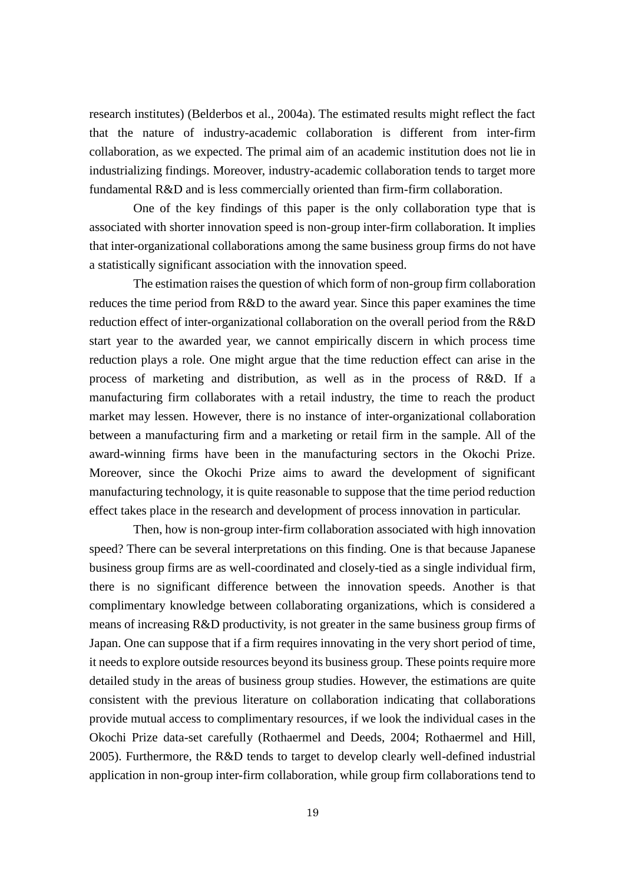research institutes) [\(Belderbos et al., 2004a\)](#page-26-7). The estimated results might reflect the fact that the nature of industry-academic collaboration is different from inter-firm collaboration, as we expected. The primal aim of an academic institution does not lie in industrializing findings. Moreover, industry-academic collaboration tends to target more fundamental R&D and is less commercially oriented than firm-firm collaboration.

One of the key findings of this paper is the only collaboration type that is associated with shorter innovation speed is non-group inter-firm collaboration. It implies that inter-organizational collaborations among the same business group firms do not have a statistically significant association with the innovation speed.

The estimation raises the question of which form of non-group firm collaboration reduces the time period from R&D to the award year. Since this paper examines the time reduction effect of inter-organizational collaboration on the overall period from the R&D start year to the awarded year, we cannot empirically discern in which process time reduction plays a role. One might argue that the time reduction effect can arise in the process of marketing and distribution, as well as in the process of R&D. If a manufacturing firm collaborates with a retail industry, the time to reach the product market may lessen. However, there is no instance of inter-organizational collaboration between a manufacturing firm and a marketing or retail firm in the sample. All of the award-winning firms have been in the manufacturing sectors in the Okochi Prize. Moreover, since the Okochi Prize aims to award the development of significant manufacturing technology, it is quite reasonable to suppose that the time period reduction effect takes place in the research and development of process innovation in particular.

Then, how is non-group inter-firm collaboration associated with high innovation speed? There can be several interpretations on this finding. One is that because Japanese business group firms are as well-coordinated and closely-tied as a single individual firm, there is no significant difference between the innovation speeds. Another is that complimentary knowledge between collaborating organizations, which is considered a means of increasing R&D productivity, is not greater in the same business group firms of Japan. One can suppose that if a firm requires innovating in the very short period of time, it needs to explore outside resources beyond its business group. These points require more detailed study in the areas of business group studies. However, the estimations are quite consistent with the previous literature on collaboration indicating that collaborations provide mutual access to complimentary resources, if we look the individual cases in the Okochi Prize data-set carefully [\(Rothaermel and Deeds, 2004;](#page-29-13) [Rothaermel and Hill,](#page-29-14)  [2005\)](#page-29-14). Furthermore, the R&D tends to target to develop clearly well-defined industrial application in non-group inter-firm collaboration, while group firm collaborations tend to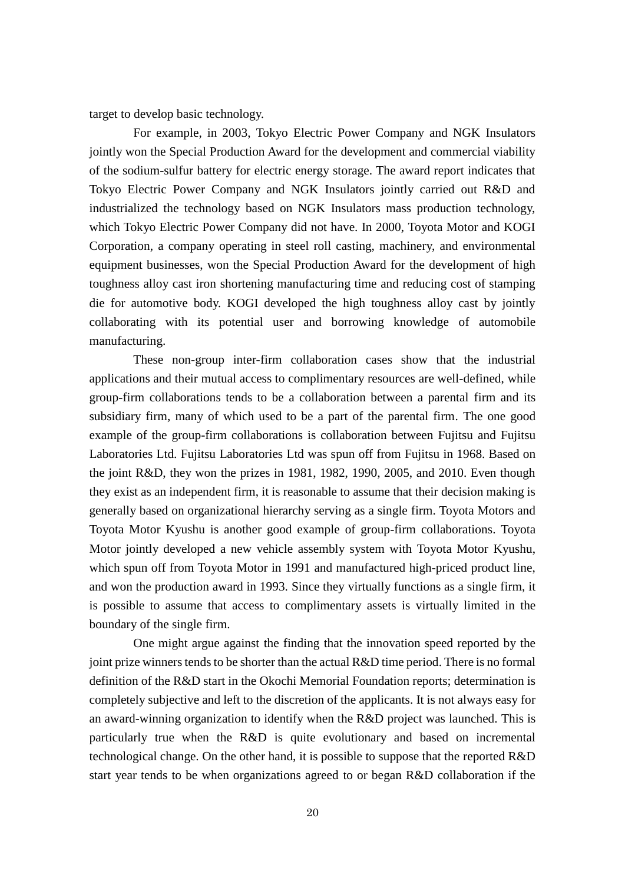target to develop basic technology.

For example, in 2003, Tokyo Electric Power Company and NGK Insulators jointly won the Special Production Award for the development and commercial viability of the sodium-sulfur battery for electric energy storage. The award report indicates that Tokyo Electric Power Company and NGK Insulators jointly carried out R&D and industrialized the technology based on NGK Insulators mass production technology, which Tokyo Electric Power Company did not have. In 2000, Toyota Motor and KOGI Corporation, a company operating in steel roll casting, machinery, and environmental equipment businesses, won the Special Production Award for the development of high toughness alloy cast iron shortening manufacturing time and reducing cost of stamping die for automotive body. KOGI developed the high toughness alloy cast by jointly collaborating with its potential user and borrowing knowledge of automobile manufacturing.

These non-group inter-firm collaboration cases show that the industrial applications and their mutual access to complimentary resources are well-defined, while group-firm collaborations tends to be a collaboration between a parental firm and its subsidiary firm, many of which used to be a part of the parental firm. The one good example of the group-firm collaborations is collaboration between Fujitsu and Fujitsu Laboratories Ltd. Fujitsu Laboratories Ltd was spun off from Fujitsu in 1968. Based on the joint R&D, they won the prizes in 1981, 1982, 1990, 2005, and 2010. Even though they exist as an independent firm, it is reasonable to assume that their decision making is generally based on organizational hierarchy serving as a single firm. Toyota Motors and Toyota Motor Kyushu is another good example of group-firm collaborations. Toyota Motor jointly developed a new vehicle assembly system with Toyota Motor Kyushu, which spun off from Toyota Motor in 1991 and manufactured high-priced product line, and won the production award in 1993. Since they virtually functions as a single firm, it is possible to assume that access to complimentary assets is virtually limited in the boundary of the single firm.

One might argue against the finding that the innovation speed reported by the joint prize winners tends to be shorter than the actual R&D time period. There is no formal definition of the R&D start in the Okochi Memorial Foundation reports; determination is completely subjective and left to the discretion of the applicants. It is not always easy for an award-winning organization to identify when the R&D project was launched. This is particularly true when the R&D is quite evolutionary and based on incremental technological change. On the other hand, it is possible to suppose that the reported R&D start year tends to be when organizations agreed to or began R&D collaboration if the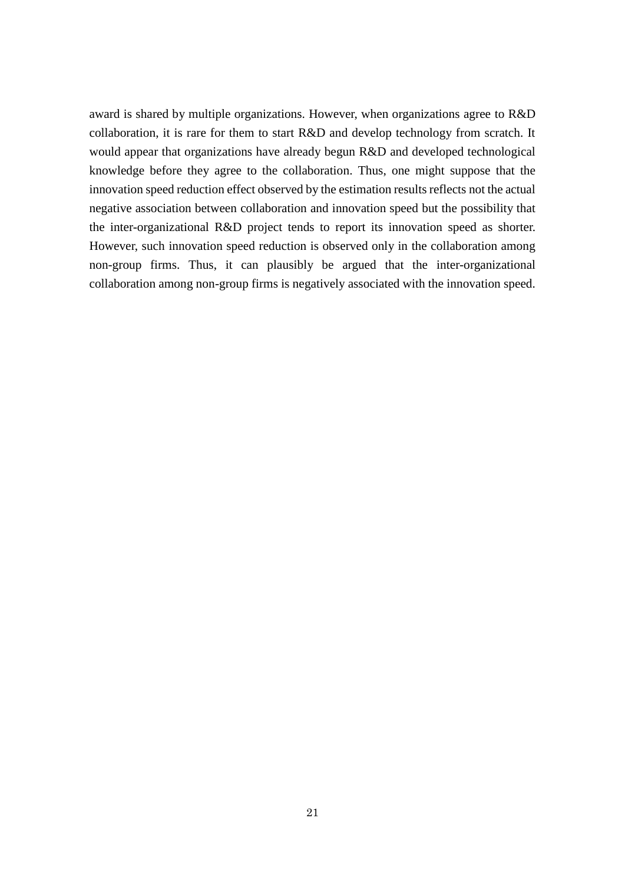award is shared by multiple organizations. However, when organizations agree to R&D collaboration, it is rare for them to start R&D and develop technology from scratch. It would appear that organizations have already begun R&D and developed technological knowledge before they agree to the collaboration. Thus, one might suppose that the innovation speed reduction effect observed by the estimation results reflects not the actual negative association between collaboration and innovation speed but the possibility that the inter-organizational R&D project tends to report its innovation speed as shorter. However, such innovation speed reduction is observed only in the collaboration among non-group firms. Thus, it can plausibly be argued that the inter-organizational collaboration among non-group firms is negatively associated with the innovation speed.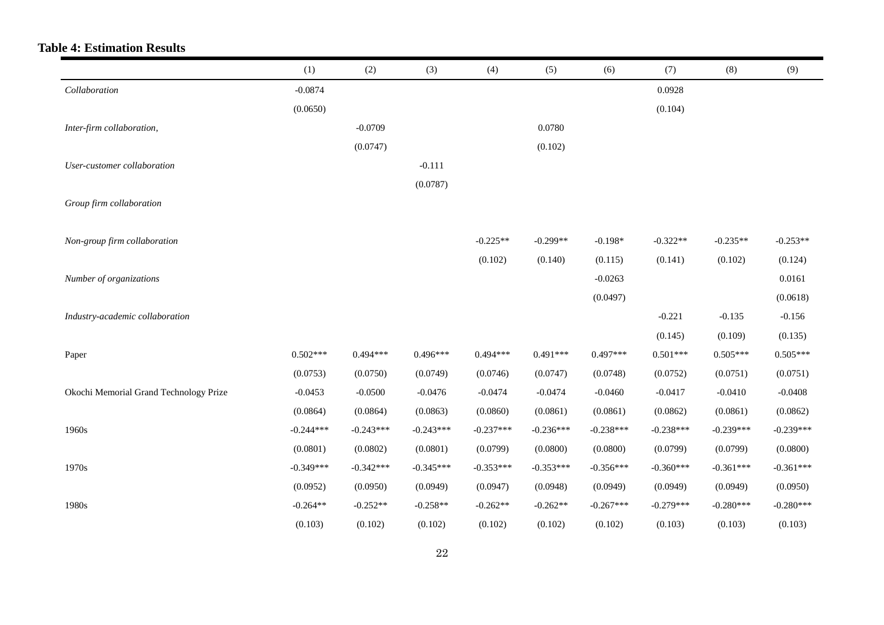# **Table 4: Estimation Results**

|                                        | (1)         | (2)         | (3)         | (4)         | (5)         | (6)         | (7)         | (8)         | (9)         |
|----------------------------------------|-------------|-------------|-------------|-------------|-------------|-------------|-------------|-------------|-------------|
| Collaboration                          | $-0.0874$   |             |             |             |             |             | 0.0928      |             |             |
|                                        | (0.0650)    |             |             |             |             |             | (0.104)     |             |             |
| Inter-firm collaboration,              |             | $-0.0709$   |             |             | 0.0780      |             |             |             |             |
|                                        |             | (0.0747)    |             |             | (0.102)     |             |             |             |             |
| User-customer collaboration            |             |             | $-0.111$    |             |             |             |             |             |             |
|                                        |             |             | (0.0787)    |             |             |             |             |             |             |
| Group firm collaboration               |             |             |             |             |             |             |             |             |             |
|                                        |             |             |             |             |             |             |             |             |             |
| Non-group firm collaboration           |             |             |             | $-0.225**$  | $-0.299**$  | $-0.198*$   | $-0.322**$  | $-0.235**$  | $-0.253**$  |
|                                        |             |             |             | (0.102)     | (0.140)     | (0.115)     | (0.141)     | (0.102)     | (0.124)     |
| Number of organizations                |             |             |             |             |             | $-0.0263$   |             |             | 0.0161      |
|                                        |             |             |             |             |             | (0.0497)    |             |             | (0.0618)    |
| Industry-academic collaboration        |             |             |             |             |             |             | $-0.221$    | $-0.135$    | $-0.156$    |
|                                        |             |             |             |             |             |             | (0.145)     | (0.109)     | (0.135)     |
| Paper                                  | $0.502***$  | $0.494***$  | $0.496***$  | $0.494***$  | $0.491***$  | $0.497***$  | $0.501***$  | $0.505***$  | $0.505***$  |
|                                        | (0.0753)    | (0.0750)    | (0.0749)    | (0.0746)    | (0.0747)    | (0.0748)    | (0.0752)    | (0.0751)    | (0.0751)    |
| Okochi Memorial Grand Technology Prize | $-0.0453$   | $-0.0500$   | $-0.0476$   | $-0.0474$   | $-0.0474$   | $-0.0460$   | $-0.0417$   | $-0.0410$   | $-0.0408$   |
|                                        | (0.0864)    | (0.0864)    | (0.0863)    | (0.0860)    | (0.0861)    | (0.0861)    | (0.0862)    | (0.0861)    | (0.0862)    |
| 1960s                                  | $-0.244***$ | $-0.243***$ | $-0.243***$ | $-0.237***$ | $-0.236***$ | $-0.238***$ | $-0.238***$ | $-0.239***$ | $-0.239***$ |
|                                        | (0.0801)    | (0.0802)    | (0.0801)    | (0.0799)    | (0.0800)    | (0.0800)    | (0.0799)    | (0.0799)    | (0.0800)    |
| 1970s                                  | $-0.349***$ | $-0.342***$ | $-0.345***$ | $-0.353***$ | $-0.353***$ | $-0.356***$ | $-0.360***$ | $-0.361***$ | $-0.361***$ |
|                                        | (0.0952)    | (0.0950)    | (0.0949)    | (0.0947)    | (0.0948)    | (0.0949)    | (0.0949)    | (0.0949)    | (0.0950)    |
| 1980s                                  | $-0.264**$  | $-0.252**$  | $-0.258**$  | $-0.262**$  | $-0.262**$  | $-0.267***$ | $-0.279***$ | $-0.280***$ | $-0.280***$ |
|                                        | (0.103)     | (0.102)     | (0.102)     | (0.102)     | (0.102)     | (0.102)     | (0.103)     | (0.103)     | (0.103)     |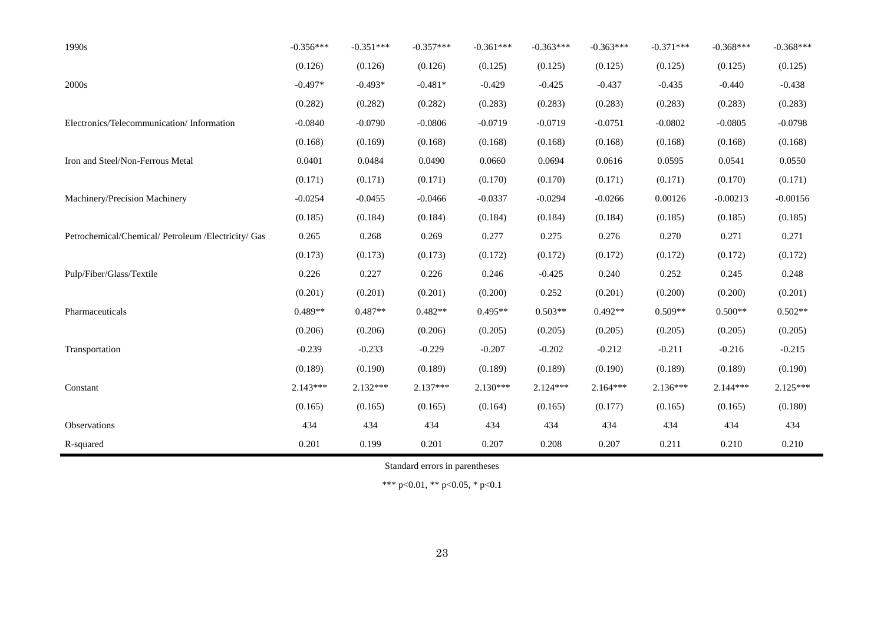| 1990s                                               | $-0.356***$ | $-0.351***$ | $-0.357***$ | $-0.361***$ | $-0.363***$ | $-0.363***$ | $-0.371***$ | $-0.368***$ | $-0.368***$ |
|-----------------------------------------------------|-------------|-------------|-------------|-------------|-------------|-------------|-------------|-------------|-------------|
|                                                     | (0.126)     | (0.126)     | (0.126)     | (0.125)     | (0.125)     | (0.125)     | (0.125)     | (0.125)     | (0.125)     |
| 2000s                                               | $-0.497*$   | $-0.493*$   | $-0.481*$   | $-0.429$    | $-0.425$    | $-0.437$    | $-0.435$    | $-0.440$    | $-0.438$    |
|                                                     | (0.282)     | (0.282)     | (0.282)     | (0.283)     | (0.283)     | (0.283)     | (0.283)     | (0.283)     | (0.283)     |
| Electronics/Telecommunication/Information           | $-0.0840$   | $-0.0790$   | $-0.0806$   | $-0.0719$   | $-0.0719$   | $-0.0751$   | $-0.0802$   | $-0.0805$   | $-0.0798$   |
|                                                     | (0.168)     | (0.169)     | (0.168)     | (0.168)     | (0.168)     | (0.168)     | (0.168)     | (0.168)     | (0.168)     |
| Iron and Steel/Non-Ferrous Metal                    | 0.0401      | 0.0484      | 0.0490      | 0.0660      | 0.0694      | 0.0616      | 0.0595      | 0.0541      | 0.0550      |
|                                                     | (0.171)     | (0.171)     | (0.171)     | (0.170)     | (0.170)     | (0.171)     | (0.171)     | (0.170)     | (0.171)     |
| Machinery/Precision Machinery                       | $-0.0254$   | $-0.0455$   | $-0.0466$   | $-0.0337$   | $-0.0294$   | $-0.0266$   | 0.00126     | $-0.00213$  | $-0.00156$  |
|                                                     | (0.185)     | (0.184)     | (0.184)     | (0.184)     | (0.184)     | (0.184)     | (0.185)     | (0.185)     | (0.185)     |
| Petrochemical/Chemical/ Petroleum /Electricity/ Gas | 0.265       | 0.268       | 0.269       | 0.277       | 0.275       | 0.276       | 0.270       | 0.271       | 0.271       |
|                                                     | (0.173)     | (0.173)     | (0.173)     | (0.172)     | (0.172)     | (0.172)     | (0.172)     | (0.172)     | (0.172)     |
| Pulp/Fiber/Glass/Textile                            | 0.226       | 0.227       | 0.226       | 0.246       | $-0.425$    | 0.240       | 0.252       | 0.245       | 0.248       |
|                                                     | (0.201)     | (0.201)     | (0.201)     | (0.200)     | 0.252       | (0.201)     | (0.200)     | (0.200)     | (0.201)     |
| Pharmaceuticals                                     | $0.489**$   | $0.487**$   | $0.482**$   | $0.495**$   | $0.503**$   | $0.492**$   | $0.509**$   | $0.500**$   | $0.502**$   |
|                                                     | (0.206)     | (0.206)     | (0.206)     | (0.205)     | (0.205)     | (0.205)     | (0.205)     | (0.205)     | (0.205)     |
| Transportation                                      | $-0.239$    | $-0.233$    | $-0.229$    | $-0.207$    | $-0.202$    | $-0.212$    | $-0.211$    | $-0.216$    | $-0.215$    |
|                                                     | (0.189)     | (0.190)     | (0.189)     | (0.189)     | (0.189)     | (0.190)     | (0.189)     | (0.189)     | (0.190)     |
| Constant                                            | $2.143***$  | $2.132***$  | $2.137***$  | $2.130***$  | $2.124***$  | $2.164***$  | $2.136***$  | $2.144***$  | 2.125***    |
|                                                     | (0.165)     | (0.165)     | (0.165)     | (0.164)     | (0.165)     | (0.177)     | (0.165)     | (0.165)     | (0.180)     |
| Observations                                        | 434         | 434         | 434         | 434         | 434         | 434         | 434         | 434         | 434         |
| R-squared                                           | 0.201       | 0.199       | 0.201       | 0.207       | 0.208       | 0.207       | 0.211       | 0.210       | 0.210       |

Standard errors in parentheses

\*\*\* p<0.01, \*\* p<0.05, \* p<0.1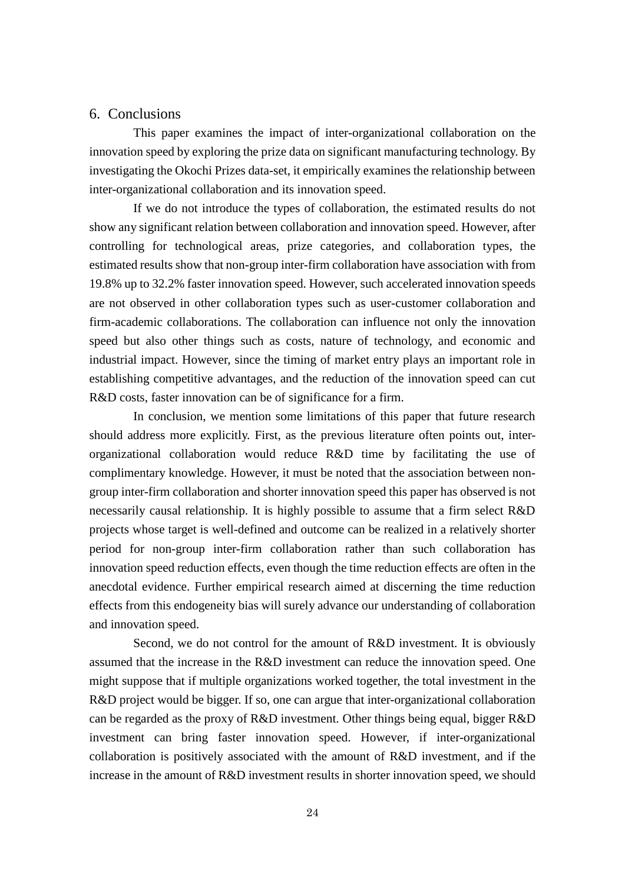### 6. Conclusions

This paper examines the impact of inter-organizational collaboration on the innovation speed by exploring the prize data on significant manufacturing technology. By investigating the Okochi Prizes data-set, it empirically examines the relationship between inter-organizational collaboration and its innovation speed.

If we do not introduce the types of collaboration, the estimated results do not show any significant relation between collaboration and innovation speed. However, after controlling for technological areas, prize categories, and collaboration types, the estimated results show that non-group inter-firm collaboration have association with from 19.8% up to 32.2% faster innovation speed. However, such accelerated innovation speeds are not observed in other collaboration types such as user-customer collaboration and firm-academic collaborations. The collaboration can influence not only the innovation speed but also other things such as costs, nature of technology, and economic and industrial impact. However, since the timing of market entry plays an important role in establishing competitive advantages, and the reduction of the innovation speed can cut R&D costs, faster innovation can be of significance for a firm.

In conclusion, we mention some limitations of this paper that future research should address more explicitly. First, as the previous literature often points out, interorganizational collaboration would reduce R&D time by facilitating the use of complimentary knowledge. However, it must be noted that the association between nongroup inter-firm collaboration and shorter innovation speed this paper has observed is not necessarily causal relationship. It is highly possible to assume that a firm select R&D projects whose target is well-defined and outcome can be realized in a relatively shorter period for non-group inter-firm collaboration rather than such collaboration has innovation speed reduction effects, even though the time reduction effects are often in the anecdotal evidence. Further empirical research aimed at discerning the time reduction effects from this endogeneity bias will surely advance our understanding of collaboration and innovation speed.

Second, we do not control for the amount of R&D investment. It is obviously assumed that the increase in the R&D investment can reduce the innovation speed. One might suppose that if multiple organizations worked together, the total investment in the R&D project would be bigger. If so, one can argue that inter-organizational collaboration can be regarded as the proxy of R&D investment. Other things being equal, bigger R&D investment can bring faster innovation speed. However, if inter-organizational collaboration is positively associated with the amount of R&D investment, and if the increase in the amount of R&D investment results in shorter innovation speed, we should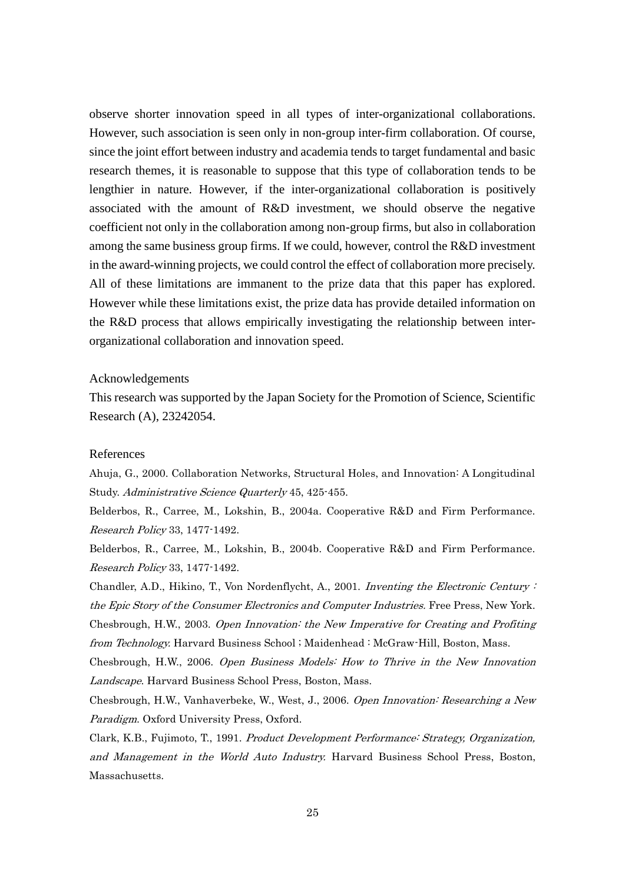observe shorter innovation speed in all types of inter-organizational collaborations. However, such association is seen only in non-group inter-firm collaboration. Of course, since the joint effort between industry and academia tends to target fundamental and basic research themes, it is reasonable to suppose that this type of collaboration tends to be lengthier in nature. However, if the inter-organizational collaboration is positively associated with the amount of R&D investment, we should observe the negative coefficient not only in the collaboration among non-group firms, but also in collaboration among the same business group firms. If we could, however, control the R&D investment in the award-winning projects, we could control the effect of collaboration more precisely. All of these limitations are immanent to the prize data that this paper has explored. However while these limitations exist, the prize data has provide detailed information on the R&D process that allows empirically investigating the relationship between interorganizational collaboration and innovation speed.

### Acknowledgements

This research was supported by the Japan Society for the Promotion of Science, Scientific Research (A), 23242054.

### References

<span id="page-26-4"></span>Ahuja, G., 2000. Collaboration Networks, Structural Holes, and Innovation: A Longitudinal Study. Administrative Science Quarterly 45, 425-455.

<span id="page-26-7"></span>Belderbos, R., Carree, M., Lokshin, B., 2004a. Cooperative R&D and Firm Performance. Research Policy 33, 1477-1492.

<span id="page-26-6"></span>Belderbos, R., Carree, M., Lokshin, B., 2004b. Cooperative R&D and Firm Performance. Research Policy 33, 1477-1492.

<span id="page-26-1"></span><span id="page-26-0"></span>Chandler, A.D., Hikino, T., Von Nordenflycht, A., 2001. Inventing the Electronic Century : the Epic Story of the Consumer Electronics and Computer Industries. Free Press, New York. Chesbrough, H.W., 2003. Open Innovation: the New Imperative for Creating and Profiting from Technology. Harvard Business School ; Maidenhead : McGraw-Hill, Boston, Mass.

<span id="page-26-3"></span>Chesbrough, H.W., 2006. Open Business Models: How to Thrive in the New Innovation Landscape. Harvard Business School Press, Boston, Mass.

<span id="page-26-2"></span>Chesbrough, H.W., Vanhaverbeke, W., West, J., 2006. Open Innovation: Researching a New Paradigm. Oxford University Press, Oxford.

<span id="page-26-5"></span>Clark, K.B., Fujimoto, T., 1991. Product Development Performance: Strategy, Organization, and Management in the World Auto Industry. Harvard Business School Press, Boston, Massachusetts.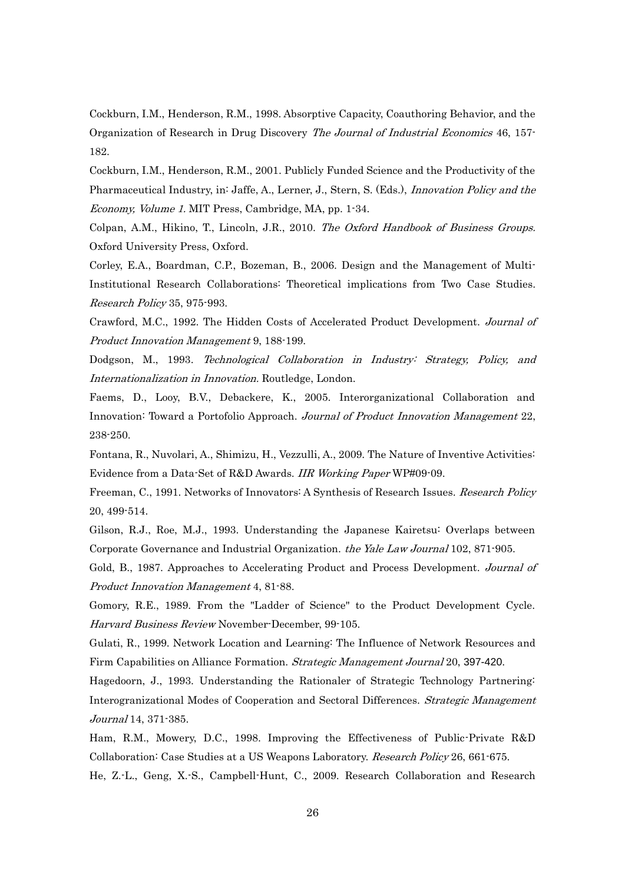<span id="page-27-12"></span>Cockburn, I.M., Henderson, R.M., 1998. Absorptive Capacity, Coauthoring Behavior, and the Organization of Research in Drug Discovery The Journal of Industrial Economics 46, 157- 182.

<span id="page-27-13"></span>Cockburn, I.M., Henderson, R.M., 2001. Publicly Funded Science and the Productivity of the Pharmaceutical Industry, in: Jaffe, A., Lerner, J., Stern, S. (Eds.), *Innovation Policy and the* Economy, Volume 1. MIT Press, Cambridge, MA, pp. 1-34.

<span id="page-27-14"></span>Colpan, A.M., Hikino, T., Lincoln, J.R., 2010. The Oxford Handbook of Business Groups. Oxford University Press, Oxford.

<span id="page-27-6"></span>Corley, E.A., Boardman, C.P., Bozeman, B., 2006. Design and the Management of Multi-Institutional Research Collaborations: Theoretical implications from Two Case Studies. Research Policy 35, 975-993.

<span id="page-27-11"></span>Crawford, M.C., 1992. The Hidden Costs of Accelerated Product Development. Journal of Product Innovation Management 9, 188-199.

<span id="page-27-4"></span>Dodgson, M., 1993. Technological Collaboration in Industry: Strategy, Policy, and Internationalization in Innovation. Routledge, London.

<span id="page-27-10"></span>Faems, D., Looy, B.V., Debackere, K., 2005. Interorganizational Collaboration and Innovation: Toward a Portofolio Approach. Journal of Product Innovation Management 22, 238-250.

<span id="page-27-2"></span>Fontana, R., Nuvolari, A., Shimizu, H., Vezzulli, A., 2009. The Nature of Inventive Activities: Evidence from a Data-Set of R&D Awards. IIR Working Paper WP#09-09.

<span id="page-27-0"></span>Freeman, C., 1991. Networks of Innovators: A Synthesis of Research Issues. Research Policy 20, 499-514.

<span id="page-27-15"></span>Gilson, R.J., Roe, M.J., 1993. Understanding the Japanese Kairetsu: Overlaps between Corporate Governance and Industrial Organization. the Yale Law Journal 102, 871-905.

<span id="page-27-9"></span>Gold, B., 1987. Approaches to Accelerating Product and Process Development. Journal of Product Innovation Management 4, 81-88.

<span id="page-27-3"></span>Gomory, R.E., 1989. From the "Ladder of Science" to the Product Development Cycle. Harvard Business Review November-December, 99-105.

<span id="page-27-1"></span>Gulati, R., 1999. Network Location and Learning: The Influence of Network Resources and Firm Capabilities on Alliance Formation. Strategic Management Journal 20, 397-420.

<span id="page-27-5"></span>Hagedoorn, J., 1993. Understanding the Rationaler of Strategic Technology Partnering: Interogranizational Modes of Cooperation and Sectoral Differences. Strategic Management Journal 14, 371-385.

<span id="page-27-7"></span>Ham, R.M., Mowery, D.C., 1998. Improving the Effectiveness of Public-Private R&D Collaboration: Case Studies at a US Weapons Laboratory. Research Policy 26, 661-675.

<span id="page-27-8"></span>He, Z.-L., Geng, X.-S., Campbell-Hunt, C., 2009. Research Collaboration and Research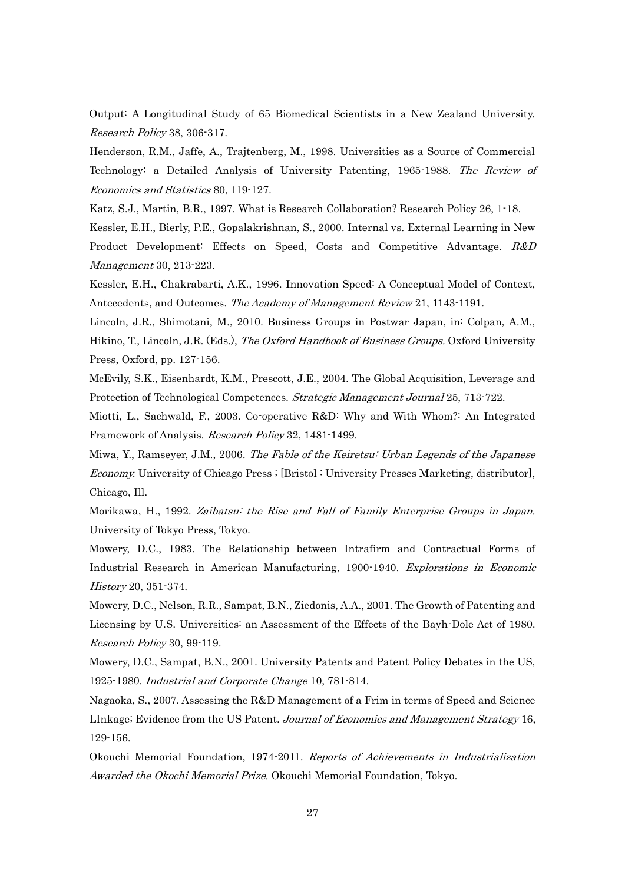Output: A Longitudinal Study of 65 Biomedical Scientists in a New Zealand University. Research Policy 38, 306-317.

<span id="page-28-1"></span>Henderson, R.M., Jaffe, A., Trajtenberg, M., 1998. Universities as a Source of Commercial Technology: a Detailed Analysis of University Patenting, 1965-1988. The Review of Economics and Statistics 80, 119-127.

<span id="page-28-8"></span>Katz, S.J., Martin, B.R., 1997. What is Research Collaboration? Research Policy 26, 1-18.

<span id="page-28-7"></span>Kessler, E.H., Bierly, P.E., Gopalakrishnan, S., 2000. Internal vs. External Learning in New Product Development: Effects on Speed, Costs and Competitive Advantage. R&D Management 30, 213-223.

<span id="page-28-6"></span>Kessler, E.H., Chakrabarti, A.K., 1996. Innovation Speed: A Conceptual Model of Context, Antecedents, and Outcomes. The Academy of Management Review 21, 1143-1191.

<span id="page-28-13"></span>Lincoln, J.R., Shimotani, M., 2010. Business Groups in Postwar Japan, in: Colpan, A.M., Hikino, T., Lincoln, J.R. (Eds.), *The Oxford Handbook of Business Groups*. Oxford University Press, Oxford, pp. 127-156.

<span id="page-28-5"></span>McEvily, S.K., Eisenhardt, K.M., Prescott, J.E., 2004. The Global Acquisition, Leverage and Protection of Technological Competences. Strategic Management Journal 25, 713-722.

<span id="page-28-9"></span>Miotti, L., Sachwald, F., 2003. Co-operative R&D: Why and With Whom?: An Integrated Framework of Analysis. Research Policy 32, 1481-1499.

<span id="page-28-11"></span>Miwa, Y., Ramseyer, J.M., 2006. The Fable of the Keiretsu: Urban Legends of the Japanese Economy. University of Chicago Press ; [Bristol : University Presses Marketing, distributor], Chicago, Ill.

<span id="page-28-12"></span>Morikawa, H., 1992. Zaibatsu: the Rise and Fall of Family Enterprise Groups in Japan. University of Tokyo Press, Tokyo.

<span id="page-28-0"></span>Mowery, D.C., 1983. The Relationship between Intrafirm and Contractual Forms of Industrial Research in American Manufacturing, 1900-1940. Explorations in Economic History 20, 351-374.

<span id="page-28-2"></span>Mowery, D.C., Nelson, R.R., Sampat, B.N., Ziedonis, A.A., 2001. The Growth of Patenting and Licensing by U.S. Universities: an Assessment of the Effects of the Bayh-Dole Act of 1980. Research Policy 30, 99-119.

<span id="page-28-3"></span>Mowery, D.C., Sampat, B.N., 2001. University Patents and Patent Policy Debates in the US, 1925-1980. Industrial and Corporate Change 10, 781-814.

<span id="page-28-4"></span>Nagaoka, S., 2007. Assessing the R&D Management of a Frim in terms of Speed and Science LInkage; Evidence from the US Patent. Journal of Economics and Management Strategy 16, 129-156.

<span id="page-28-10"></span>Okouchi Memorial Foundation, 1974-2011. Reports of Achievements in Industrialization Awarded the Okochi Memorial Prize. Okouchi Memorial Foundation, Tokyo.